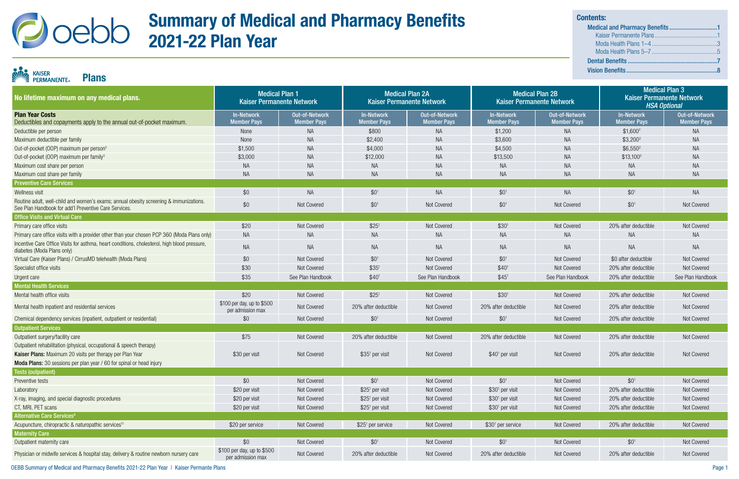| No lifetime maximum on any medical plans.                                                                                                       | <b>Medical Plan 1</b><br><b>Kaiser Permanente Network</b> |                                      | <b>Medical Plan 2A</b><br><b>Kaiser Permanente Network</b> |                                             |                                         | <b>Medical Plan 2B</b><br><b>Kaiser Permanente Network</b> | <b>Medical Plan 3</b><br><b>Kaiser Permanente Network</b><br><b>HSA Optional</b> |                                      |
|-------------------------------------------------------------------------------------------------------------------------------------------------|-----------------------------------------------------------|--------------------------------------|------------------------------------------------------------|---------------------------------------------|-----------------------------------------|------------------------------------------------------------|----------------------------------------------------------------------------------|--------------------------------------|
| <b>Plan Year Costs</b><br>Deductibles and copayments apply to the annual out-of-pocket maximum.                                                 | <b>In-Network</b><br>Member Pays                          | Out-of-Network<br><b>Member Pays</b> | In-Network<br><b>Member Pays</b>                           | <b>Out-of-Network</b><br><b>Member Pays</b> | <b>In-Network</b><br><b>Member Pays</b> | <b>Out-of-Network</b><br><b>Member Pays</b>                | <b>In-Network</b><br><b>Member Pays</b>                                          | Out-of-Network<br><b>Member Pays</b> |
| Deductible per person                                                                                                                           | None                                                      | <b>NA</b>                            | \$800                                                      | <b>NA</b>                                   | \$1,200                                 | <b>NA</b>                                                  | $$1,600^2$                                                                       | <b>NA</b>                            |
| Maximum deductible per family                                                                                                                   | None                                                      | NA                                   | \$2,400                                                    | <b>NA</b>                                   | \$3,600                                 | NA                                                         | $$3,200^2$                                                                       | <b>NA</b>                            |
| Out-of-pocket (OOP) maximum per person <sup>3</sup>                                                                                             | \$1,500                                                   | <b>NA</b>                            | \$4,000                                                    | <b>NA</b>                                   | \$4,500                                 | <b>NA</b>                                                  | $$6,550^2$                                                                       | <b>NA</b>                            |
| Out-of-pocket (OOP) maximum per family <sup>3</sup>                                                                                             | \$3,000                                                   | <b>NA</b>                            | \$12,000                                                   | <b>NA</b>                                   | \$13,500                                | <b>NA</b>                                                  | $$13,100^2$                                                                      | <b>NA</b>                            |
| Maximum cost share per person                                                                                                                   | <b>NA</b>                                                 | <b>NA</b>                            | <b>NA</b>                                                  | <b>NA</b>                                   | <b>NA</b>                               | <b>NA</b>                                                  | <b>NA</b>                                                                        | <b>NA</b>                            |
| Maximum cost share per family                                                                                                                   | <b>NA</b>                                                 | <b>NA</b>                            | NA.                                                        | <b>NA</b>                                   | <b>NA</b>                               | NA                                                         | <b>NA</b>                                                                        | <b>NA</b>                            |
| <b>Preventive Care Services</b>                                                                                                                 |                                                           |                                      |                                                            |                                             |                                         |                                                            |                                                                                  |                                      |
| Wellness visit                                                                                                                                  | \$0                                                       | <b>NA</b>                            | \$0 <sup>1</sup>                                           | <b>NA</b>                                   | \$0 <sup>1</sup>                        | <b>NA</b>                                                  | \$0 <sup>1</sup>                                                                 | <b>NA</b>                            |
| Routine adult, well-child and women's exams; annual obesity screening & immunizations.<br>See Plan Handbook for add'I Preventive Care Services. | \$0                                                       | Not Covered                          | $$0^1$                                                     | Not Covered                                 | \$0 <sup>1</sup>                        | Not Covered                                                | $$0^1$$                                                                          | Not Covered                          |
| <b>Office Visits and Virtual Care</b>                                                                                                           |                                                           |                                      |                                                            |                                             |                                         |                                                            |                                                                                  |                                      |
| Primary care office visits                                                                                                                      | \$20                                                      | Not Covered                          | \$25 <sup>1</sup>                                          | Not Covered                                 | \$30 <sup>1</sup>                       | Not Covered                                                | 20% after deductible                                                             | Not Covered                          |
| Primary care office visits with a provider other than your chosen PCP 360 (Moda Plans only)                                                     | <b>NA</b>                                                 | NA                                   | <b>NA</b>                                                  | NA                                          | <b>NA</b>                               | NA                                                         | <b>NA</b>                                                                        | <b>NA</b>                            |
| Incentive Care Office Visits for asthma, heart conditions, cholesterol, high blood pressure,<br>diabetes (Moda Plans only)                      | <b>NA</b>                                                 | <b>NA</b>                            | <b>NA</b>                                                  | <b>NA</b>                                   | <b>NA</b>                               | <b>NA</b>                                                  | <b>NA</b>                                                                        | <b>NA</b>                            |
| Virtual Care (Kaiser Plans) / CirrusMD telehealth (Moda Plans)                                                                                  | \$0                                                       | Not Covered                          | $$0^1$                                                     | Not Covered                                 | \$0 <sup>1</sup>                        | Not Covered                                                | \$0 after deductible                                                             | Not Covered                          |
| Specialist office visits                                                                                                                        | \$30                                                      | Not Covered                          | \$35 <sup>1</sup>                                          | Not Covered                                 | \$40 <sup>1</sup>                       | Not Covered                                                | 20% after deductible                                                             | Not Covered                          |
| Urgent care                                                                                                                                     | \$35                                                      | See Plan Handbook                    | \$40 <sup>1</sup>                                          | See Plan Handbook                           | \$45'                                   | See Plan Handbook                                          | 20% after deductible                                                             | See Plan Handbook                    |
| <b>Mental Health Services</b>                                                                                                                   |                                                           |                                      |                                                            |                                             |                                         |                                                            |                                                                                  |                                      |
| Mental health office visits                                                                                                                     | \$20                                                      | Not Covered                          | \$25 <sup>1</sup>                                          | Not Covered                                 | \$30 <sup>1</sup>                       | Not Covered                                                | 20% after deductible                                                             | Not Covered                          |
| Mental health inpatient and residential services                                                                                                | \$100 per day, up to \$500<br>per admission max           | Not Covered                          | 20% after deductible                                       | Not Covered                                 | 20% after deductible                    | Not Covered                                                | 20% after deductible                                                             | Not Covered                          |
| Chemical dependency services (inpatient, outpatient or residential)                                                                             | \$0                                                       | Not Covered                          | \$0 <sup>1</sup>                                           | Not Covered                                 | \$0 <sup>1</sup>                        | Not Covered                                                | 20% after deductible                                                             | Not Covered                          |
| <b>Outpatient Services</b>                                                                                                                      |                                                           |                                      |                                                            |                                             |                                         |                                                            |                                                                                  |                                      |
| Outpatient surgery/facility care                                                                                                                | \$75                                                      | Not Covered                          | 20% after deductible                                       | Not Covered                                 | 20% after deductible                    | <b>Not Covered</b>                                         | 20% after deductible                                                             | Not Covered                          |
| Outpatient rehabilitation (physical, occupational & speech therapy)                                                                             |                                                           |                                      |                                                            |                                             |                                         |                                                            |                                                                                  |                                      |
| <b>Kaiser Plans:</b> Maximum 20 visits per therapy per Plan Year                                                                                | \$30 per visit                                            | <b>Not Covered</b>                   | $$351$ per visit                                           | Not Covered                                 | $$401$ per visit                        | Not Covered                                                | 20% after deductible                                                             | Not Covered                          |
| Moda Plans: 30 sessions per plan year / 60 for spinal or head injury                                                                            |                                                           |                                      |                                                            |                                             |                                         |                                                            |                                                                                  |                                      |
| <b>Tests (outpatient)</b>                                                                                                                       |                                                           |                                      |                                                            |                                             |                                         |                                                            |                                                                                  |                                      |
| Preventive tests                                                                                                                                | \$0                                                       | Not Covered                          | $$0^1$                                                     | Not Covered                                 | $$0^1$$                                 | Not Covered                                                | $$0^1$                                                                           | Not Covered                          |
| Laboratory                                                                                                                                      | \$20 per visit                                            | Not Covered                          | \$25 <sup>1</sup> per visit                                | Not Covered                                 | \$30 <sup>1</sup> per visit             | Not Covered                                                | 20% after deductible                                                             | Not Covered                          |
| X-ray, imaging, and special diagnostic procedures                                                                                               | \$20 per visit                                            | Not Covered                          | \$25 <sup>1</sup> per visit                                | Not Covered                                 | \$30 <sup>1</sup> per visit             | Not Covered                                                | 20% after deductible                                                             | Not Covered                          |
| CT, MRI, PET scans                                                                                                                              | \$20 per visit                                            | Not Covered                          | $$251$ per visit                                           | Not Covered                                 | $$301$ per visit                        | Not Covered                                                | 20% after deductible                                                             | Not Covered                          |
| <b>Alternative Care Services<sup>8</sup></b>                                                                                                    |                                                           |                                      |                                                            |                                             |                                         |                                                            |                                                                                  |                                      |
| Acupuncture, chiropractic & naturopathic services <sup>11</sup>                                                                                 | \$20 per service                                          | Not Covered                          | \$25 <sup>1</sup> per service                              | Not Covered                                 | \$30 <sup>1</sup> per service           | Not Covered                                                | 20% after deductible                                                             | Not Covered                          |
| <b>Maternity Care</b>                                                                                                                           |                                                           |                                      |                                                            |                                             |                                         |                                                            |                                                                                  |                                      |
| Outpatient maternity care                                                                                                                       | \$0                                                       | Not Covered                          | $$0^1$                                                     | Not Covered                                 | $$0^1$$                                 | Not Covered                                                | $$0^1$$                                                                          | Not Covered                          |
| Physician or midwife services & hospital stay, delivery & routine newborn nursery care                                                          | \$100 per day, up to \$500<br>per admission max           | Not Covered                          | 20% after deductible                                       | Not Covered                                 | 20% after deductible                    | Not Covered                                                | 20% after deductible                                                             | Not Covered                          |

OEBB Summary of Medical and Pharmacy Benefits 2021-22 Plan Year | Kaiser Permante Plans

## KAISER<br>PERMANENTE Plans

## Summary of Medical and Pharmacy Benefits 2021-22 Plan Year

| <b>Contents:</b> |  |
|------------------|--|
|                  |  |
|                  |  |
|                  |  |
|                  |  |
|                  |  |
|                  |  |
|                  |  |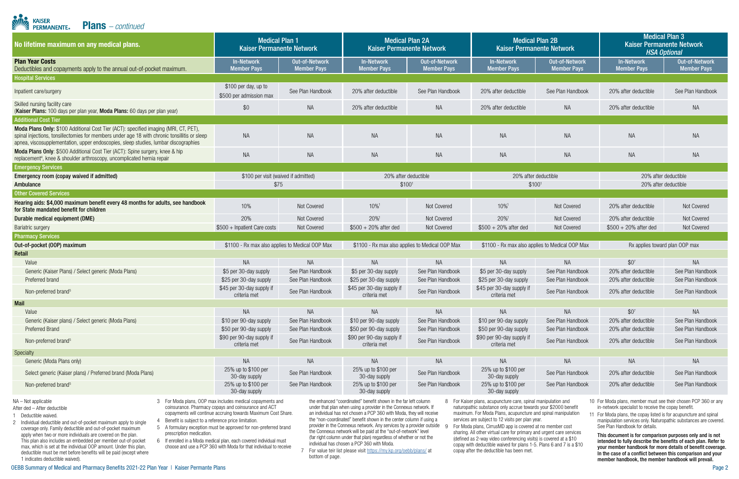| <b>Alli</b><br><b>KAISER</b><br><b>Plans</b> $-$ <i>continued</i><br><b>PERMANENTE</b>                                                                                                                                                                                                                                                                                                                                                                                                                                                                                                                                                                                                                                                                                                                                                                                                                                                                                                                                                                                                                                                                                                                                                                                                                                                                                                                                                                                                                                                                                                                                                                                                                                                                                                                                                                                                                                                                                                                                                                                                                                                                                                                                                                                                                                                                                                                                                                                                                                                                                                                                                                                                                                                                                                                                                                                                                                       |                                                           |                                        |                                                            |                                        |                                                            |                                             |                                                                                  |                                        |  |
|------------------------------------------------------------------------------------------------------------------------------------------------------------------------------------------------------------------------------------------------------------------------------------------------------------------------------------------------------------------------------------------------------------------------------------------------------------------------------------------------------------------------------------------------------------------------------------------------------------------------------------------------------------------------------------------------------------------------------------------------------------------------------------------------------------------------------------------------------------------------------------------------------------------------------------------------------------------------------------------------------------------------------------------------------------------------------------------------------------------------------------------------------------------------------------------------------------------------------------------------------------------------------------------------------------------------------------------------------------------------------------------------------------------------------------------------------------------------------------------------------------------------------------------------------------------------------------------------------------------------------------------------------------------------------------------------------------------------------------------------------------------------------------------------------------------------------------------------------------------------------------------------------------------------------------------------------------------------------------------------------------------------------------------------------------------------------------------------------------------------------------------------------------------------------------------------------------------------------------------------------------------------------------------------------------------------------------------------------------------------------------------------------------------------------------------------------------------------------------------------------------------------------------------------------------------------------------------------------------------------------------------------------------------------------------------------------------------------------------------------------------------------------------------------------------------------------------------------------------------------------------------------------------------------------|-----------------------------------------------------------|----------------------------------------|------------------------------------------------------------|----------------------------------------|------------------------------------------------------------|---------------------------------------------|----------------------------------------------------------------------------------|----------------------------------------|--|
| No lifetime maximum on any medical plans.                                                                                                                                                                                                                                                                                                                                                                                                                                                                                                                                                                                                                                                                                                                                                                                                                                                                                                                                                                                                                                                                                                                                                                                                                                                                                                                                                                                                                                                                                                                                                                                                                                                                                                                                                                                                                                                                                                                                                                                                                                                                                                                                                                                                                                                                                                                                                                                                                                                                                                                                                                                                                                                                                                                                                                                                                                                                                    | <b>Medical Plan 1</b><br><b>Kaiser Permanente Network</b> |                                        | <b>Medical Plan 2A</b><br><b>Kaiser Permanente Network</b> |                                        | <b>Medical Plan 2B</b><br><b>Kaiser Permanente Network</b> |                                             | <b>Medical Plan 3</b><br><b>Kaiser Permanente Network</b><br><b>HSA Optional</b> |                                        |  |
| <b>Plan Year Costs</b><br>Deductibles and copayments apply to the annual out-of-pocket maximum.                                                                                                                                                                                                                                                                                                                                                                                                                                                                                                                                                                                                                                                                                                                                                                                                                                                                                                                                                                                                                                                                                                                                                                                                                                                                                                                                                                                                                                                                                                                                                                                                                                                                                                                                                                                                                                                                                                                                                                                                                                                                                                                                                                                                                                                                                                                                                                                                                                                                                                                                                                                                                                                                                                                                                                                                                              | <b>In-Network</b><br><b>Member Pays</b>                   | Out-of-Network<br><b>Member Pays</b>   | <b>In-Network</b><br><b>Member Pays</b>                    | Out-of-Network<br><b>Member Pays</b>   | <b>In-Network</b><br><b>Member Pays</b>                    | <b>Out-of-Network</b><br><b>Member Pays</b> | <b>In-Network</b><br><b>Member Pays</b>                                          | Out-of-Network<br><b>Member Pays</b>   |  |
| <b>Hospital Services</b>                                                                                                                                                                                                                                                                                                                                                                                                                                                                                                                                                                                                                                                                                                                                                                                                                                                                                                                                                                                                                                                                                                                                                                                                                                                                                                                                                                                                                                                                                                                                                                                                                                                                                                                                                                                                                                                                                                                                                                                                                                                                                                                                                                                                                                                                                                                                                                                                                                                                                                                                                                                                                                                                                                                                                                                                                                                                                                     |                                                           |                                        |                                                            |                                        |                                                            |                                             |                                                                                  |                                        |  |
| Inpatient care/surgery                                                                                                                                                                                                                                                                                                                                                                                                                                                                                                                                                                                                                                                                                                                                                                                                                                                                                                                                                                                                                                                                                                                                                                                                                                                                                                                                                                                                                                                                                                                                                                                                                                                                                                                                                                                                                                                                                                                                                                                                                                                                                                                                                                                                                                                                                                                                                                                                                                                                                                                                                                                                                                                                                                                                                                                                                                                                                                       | \$100 per day, up to<br>\$500 per admission max           | See Plan Handbook                      | 20% after deductible                                       | See Plan Handbook                      | 20% after deductible                                       | See Plan Handbook                           | 20% after deductible                                                             | See Plan Handbook                      |  |
| Skilled nursing facility care<br>(Kaiser Plans: 100 days per plan year, Moda Plans: 60 days per plan year)<br><b>Additional Cost Tier</b>                                                                                                                                                                                                                                                                                                                                                                                                                                                                                                                                                                                                                                                                                                                                                                                                                                                                                                                                                                                                                                                                                                                                                                                                                                                                                                                                                                                                                                                                                                                                                                                                                                                                                                                                                                                                                                                                                                                                                                                                                                                                                                                                                                                                                                                                                                                                                                                                                                                                                                                                                                                                                                                                                                                                                                                    | \$0                                                       | <b>NA</b>                              | 20% after deductible                                       | <b>NA</b>                              | 20% after deductible                                       | <b>NA</b>                                   | 20% after deductible                                                             | <b>NA</b>                              |  |
| Moda Plans Only: \$100 Additional Cost Tier (ACT): specified imaging (MRI, CT, PET),<br>spinal injections, tonsillectomies for members under age 18 with chronic tonsillitis or sleep<br>apnea, viscosupplementation, upper endoscopies, sleep studies, lumbar discographies                                                                                                                                                                                                                                                                                                                                                                                                                                                                                                                                                                                                                                                                                                                                                                                                                                                                                                                                                                                                                                                                                                                                                                                                                                                                                                                                                                                                                                                                                                                                                                                                                                                                                                                                                                                                                                                                                                                                                                                                                                                                                                                                                                                                                                                                                                                                                                                                                                                                                                                                                                                                                                                 | <b>NA</b>                                                 | <b>NA</b>                              | <b>NA</b>                                                  | <b>NA</b>                              | <b>NA</b>                                                  | <b>NA</b>                                   | <b>NA</b>                                                                        | <b>NA</b>                              |  |
| Moda Plans Only: \$500 Additional Cost Tier (ACT): Spine surgery, knee & hip<br>replacement <sup>4</sup> , knee & shoulder arthroscopy, uncomplicated hernia repair                                                                                                                                                                                                                                                                                                                                                                                                                                                                                                                                                                                                                                                                                                                                                                                                                                                                                                                                                                                                                                                                                                                                                                                                                                                                                                                                                                                                                                                                                                                                                                                                                                                                                                                                                                                                                                                                                                                                                                                                                                                                                                                                                                                                                                                                                                                                                                                                                                                                                                                                                                                                                                                                                                                                                          | <b>NA</b>                                                 | <b>NA</b>                              | <b>NA</b>                                                  | <b>NA</b>                              | <b>NA</b>                                                  | <b>NA</b>                                   | <b>NA</b>                                                                        | <b>NA</b>                              |  |
| <b>Emergency Services</b>                                                                                                                                                                                                                                                                                                                                                                                                                                                                                                                                                                                                                                                                                                                                                                                                                                                                                                                                                                                                                                                                                                                                                                                                                                                                                                                                                                                                                                                                                                                                                                                                                                                                                                                                                                                                                                                                                                                                                                                                                                                                                                                                                                                                                                                                                                                                                                                                                                                                                                                                                                                                                                                                                                                                                                                                                                                                                                    |                                                           |                                        |                                                            |                                        |                                                            |                                             |                                                                                  |                                        |  |
| Emergency room (copay waived if admitted)                                                                                                                                                                                                                                                                                                                                                                                                                                                                                                                                                                                                                                                                                                                                                                                                                                                                                                                                                                                                                                                                                                                                                                                                                                                                                                                                                                                                                                                                                                                                                                                                                                                                                                                                                                                                                                                                                                                                                                                                                                                                                                                                                                                                                                                                                                                                                                                                                                                                                                                                                                                                                                                                                                                                                                                                                                                                                    | \$100 per visit (waived if admitted)                      |                                        | 20% after deductible                                       |                                        | 20% after deductible                                       |                                             | 20% after deductible                                                             |                                        |  |
| Ambulance                                                                                                                                                                                                                                                                                                                                                                                                                                                                                                                                                                                                                                                                                                                                                                                                                                                                                                                                                                                                                                                                                                                                                                                                                                                                                                                                                                                                                                                                                                                                                                                                                                                                                                                                                                                                                                                                                                                                                                                                                                                                                                                                                                                                                                                                                                                                                                                                                                                                                                                                                                                                                                                                                                                                                                                                                                                                                                                    | \$75                                                      |                                        | \$100 <sup>1</sup>                                         |                                        | \$100 <sup>1</sup>                                         |                                             | 20% after deductible                                                             |                                        |  |
| <b>Other Covered Services</b>                                                                                                                                                                                                                                                                                                                                                                                                                                                                                                                                                                                                                                                                                                                                                                                                                                                                                                                                                                                                                                                                                                                                                                                                                                                                                                                                                                                                                                                                                                                                                                                                                                                                                                                                                                                                                                                                                                                                                                                                                                                                                                                                                                                                                                                                                                                                                                                                                                                                                                                                                                                                                                                                                                                                                                                                                                                                                                |                                                           |                                        |                                                            |                                        |                                                            |                                             |                                                                                  |                                        |  |
| Hearing aids: \$4,000 maximum benefit every 48 months for adults, see handbook<br>for State mandated benefit for children                                                                                                                                                                                                                                                                                                                                                                                                                                                                                                                                                                                                                                                                                                                                                                                                                                                                                                                                                                                                                                                                                                                                                                                                                                                                                                                                                                                                                                                                                                                                                                                                                                                                                                                                                                                                                                                                                                                                                                                                                                                                                                                                                                                                                                                                                                                                                                                                                                                                                                                                                                                                                                                                                                                                                                                                    | 10%                                                       | Not Covered                            | 10%1                                                       | Not Covered                            | 10%                                                        | Not Covered                                 | 20% after deductible                                                             | Not Covered                            |  |
| Durable medical equipment (DME)                                                                                                                                                                                                                                                                                                                                                                                                                                                                                                                                                                                                                                                                                                                                                                                                                                                                                                                                                                                                                                                                                                                                                                                                                                                                                                                                                                                                                                                                                                                                                                                                                                                                                                                                                                                                                                                                                                                                                                                                                                                                                                                                                                                                                                                                                                                                                                                                                                                                                                                                                                                                                                                                                                                                                                                                                                                                                              | 20%                                                       | Not Covered                            | 20%                                                        | Not Covered                            | 20%1                                                       | Not Covered                                 | 20% after deductible                                                             | Not Covered                            |  |
| <b>Bariatric surgery</b>                                                                                                                                                                                                                                                                                                                                                                                                                                                                                                                                                                                                                                                                                                                                                                                                                                                                                                                                                                                                                                                                                                                                                                                                                                                                                                                                                                                                                                                                                                                                                                                                                                                                                                                                                                                                                                                                                                                                                                                                                                                                                                                                                                                                                                                                                                                                                                                                                                                                                                                                                                                                                                                                                                                                                                                                                                                                                                     | $$500 + In$ patient Care costs                            | Not Covered                            | $$500 + 20\%$ after ded                                    | Not Covered                            | $$500 + 20\%$ after ded                                    | Not Covered                                 | $$500 + 20\%$ after ded                                                          | Not Covered                            |  |
| <b>Pharmacy Services</b>                                                                                                                                                                                                                                                                                                                                                                                                                                                                                                                                                                                                                                                                                                                                                                                                                                                                                                                                                                                                                                                                                                                                                                                                                                                                                                                                                                                                                                                                                                                                                                                                                                                                                                                                                                                                                                                                                                                                                                                                                                                                                                                                                                                                                                                                                                                                                                                                                                                                                                                                                                                                                                                                                                                                                                                                                                                                                                     |                                                           |                                        |                                                            |                                        |                                                            |                                             |                                                                                  |                                        |  |
| Out-of-pocket (OOP) maximum                                                                                                                                                                                                                                                                                                                                                                                                                                                                                                                                                                                                                                                                                                                                                                                                                                                                                                                                                                                                                                                                                                                                                                                                                                                                                                                                                                                                                                                                                                                                                                                                                                                                                                                                                                                                                                                                                                                                                                                                                                                                                                                                                                                                                                                                                                                                                                                                                                                                                                                                                                                                                                                                                                                                                                                                                                                                                                  | \$1100 - Rx max also applies to Medical OOP Max           |                                        | \$1100 - Rx max also applies to Medical OOP Max            |                                        | \$1100 - Rx max also applies to Medical OOP Max            |                                             | Rx applies toward plan OOP max                                                   |                                        |  |
| Retail                                                                                                                                                                                                                                                                                                                                                                                                                                                                                                                                                                                                                                                                                                                                                                                                                                                                                                                                                                                                                                                                                                                                                                                                                                                                                                                                                                                                                                                                                                                                                                                                                                                                                                                                                                                                                                                                                                                                                                                                                                                                                                                                                                                                                                                                                                                                                                                                                                                                                                                                                                                                                                                                                                                                                                                                                                                                                                                       |                                                           |                                        |                                                            |                                        |                                                            |                                             |                                                                                  |                                        |  |
| Value                                                                                                                                                                                                                                                                                                                                                                                                                                                                                                                                                                                                                                                                                                                                                                                                                                                                                                                                                                                                                                                                                                                                                                                                                                                                                                                                                                                                                                                                                                                                                                                                                                                                                                                                                                                                                                                                                                                                                                                                                                                                                                                                                                                                                                                                                                                                                                                                                                                                                                                                                                                                                                                                                                                                                                                                                                                                                                                        | <b>NA</b>                                                 | <b>NA</b>                              | <b>NA</b>                                                  | <b>NA</b>                              | <b>NA</b>                                                  | <b>NA</b>                                   | $$0^7$                                                                           | <b>NA</b>                              |  |
| Generic (Kaiser Plans) / Select generic (Moda Plans)                                                                                                                                                                                                                                                                                                                                                                                                                                                                                                                                                                                                                                                                                                                                                                                                                                                                                                                                                                                                                                                                                                                                                                                                                                                                                                                                                                                                                                                                                                                                                                                                                                                                                                                                                                                                                                                                                                                                                                                                                                                                                                                                                                                                                                                                                                                                                                                                                                                                                                                                                                                                                                                                                                                                                                                                                                                                         | \$5 per 30-day supply                                     | See Plan Handbook                      | \$5 per 30-day supply                                      | See Plan Handbook                      | \$5 per 30-day supply                                      | See Plan Handbook                           | 20% after deductible                                                             | See Plan Handbook                      |  |
| Preferred brand                                                                                                                                                                                                                                                                                                                                                                                                                                                                                                                                                                                                                                                                                                                                                                                                                                                                                                                                                                                                                                                                                                                                                                                                                                                                                                                                                                                                                                                                                                                                                                                                                                                                                                                                                                                                                                                                                                                                                                                                                                                                                                                                                                                                                                                                                                                                                                                                                                                                                                                                                                                                                                                                                                                                                                                                                                                                                                              | \$25 per 30-day supply                                    | See Plan Handbook                      | \$25 per 30-day supply                                     | See Plan Handbook                      | \$25 per 30-day supply                                     | See Plan Handbook                           | 20% after deductible                                                             | See Plan Handbook                      |  |
| Non-preferred brand <sup>5</sup>                                                                                                                                                                                                                                                                                                                                                                                                                                                                                                                                                                                                                                                                                                                                                                                                                                                                                                                                                                                                                                                                                                                                                                                                                                                                                                                                                                                                                                                                                                                                                                                                                                                                                                                                                                                                                                                                                                                                                                                                                                                                                                                                                                                                                                                                                                                                                                                                                                                                                                                                                                                                                                                                                                                                                                                                                                                                                             | \$45 per 30-day supply if<br>criteria met                 | See Plan Handbook                      | \$45 per 30-day supply if<br>criteria met                  | See Plan Handbook                      | \$45 per 30-day supply if<br>criteria met                  | See Plan Handbook                           | 20% after deductible                                                             | See Plan Handbook                      |  |
| <b>Mail</b>                                                                                                                                                                                                                                                                                                                                                                                                                                                                                                                                                                                                                                                                                                                                                                                                                                                                                                                                                                                                                                                                                                                                                                                                                                                                                                                                                                                                                                                                                                                                                                                                                                                                                                                                                                                                                                                                                                                                                                                                                                                                                                                                                                                                                                                                                                                                                                                                                                                                                                                                                                                                                                                                                                                                                                                                                                                                                                                  |                                                           |                                        |                                                            |                                        |                                                            |                                             |                                                                                  |                                        |  |
| Value                                                                                                                                                                                                                                                                                                                                                                                                                                                                                                                                                                                                                                                                                                                                                                                                                                                                                                                                                                                                                                                                                                                                                                                                                                                                                                                                                                                                                                                                                                                                                                                                                                                                                                                                                                                                                                                                                                                                                                                                                                                                                                                                                                                                                                                                                                                                                                                                                                                                                                                                                                                                                                                                                                                                                                                                                                                                                                                        | <b>NA</b>                                                 | <b>NA</b>                              | <b>NA</b>                                                  | <b>NA</b>                              | <b>NA</b>                                                  | <b>NA</b>                                   | \$0 <sup>7</sup>                                                                 | <b>NA</b>                              |  |
| Generic (Kaiser plans) / Select generic (Moda Plans)                                                                                                                                                                                                                                                                                                                                                                                                                                                                                                                                                                                                                                                                                                                                                                                                                                                                                                                                                                                                                                                                                                                                                                                                                                                                                                                                                                                                                                                                                                                                                                                                                                                                                                                                                                                                                                                                                                                                                                                                                                                                                                                                                                                                                                                                                                                                                                                                                                                                                                                                                                                                                                                                                                                                                                                                                                                                         | \$10 per 90-day supply                                    | See Plan Handbook                      | \$10 per 90-day supply                                     | See Plan Handbook                      | \$10 per 90-day supply                                     | See Plan Handbook                           | 20% after deductible                                                             | See Plan Handbook                      |  |
| <b>Preferred Brand</b><br>Non-preferred brand <sup>5</sup>                                                                                                                                                                                                                                                                                                                                                                                                                                                                                                                                                                                                                                                                                                                                                                                                                                                                                                                                                                                                                                                                                                                                                                                                                                                                                                                                                                                                                                                                                                                                                                                                                                                                                                                                                                                                                                                                                                                                                                                                                                                                                                                                                                                                                                                                                                                                                                                                                                                                                                                                                                                                                                                                                                                                                                                                                                                                   | \$50 per 90-day supply<br>\$90 per 90-day supply if       | See Plan Handbook<br>See Plan Handbook | \$50 per 90-day supply<br>\$90 per 90-day supply if        | See Plan Handbook<br>See Plan Handbook | \$50 per 90-day supply<br>\$90 per 90-day supply if        | See Plan Handbook<br>See Plan Handbook      | 20% after deductible<br>20% after deductible                                     | See Plan Handbook<br>See Plan Handbook |  |
|                                                                                                                                                                                                                                                                                                                                                                                                                                                                                                                                                                                                                                                                                                                                                                                                                                                                                                                                                                                                                                                                                                                                                                                                                                                                                                                                                                                                                                                                                                                                                                                                                                                                                                                                                                                                                                                                                                                                                                                                                                                                                                                                                                                                                                                                                                                                                                                                                                                                                                                                                                                                                                                                                                                                                                                                                                                                                                                              | criteria met                                              |                                        | criteria met                                               |                                        | criteria met                                               |                                             |                                                                                  |                                        |  |
| Specialty<br>Generic (Moda Plans only)                                                                                                                                                                                                                                                                                                                                                                                                                                                                                                                                                                                                                                                                                                                                                                                                                                                                                                                                                                                                                                                                                                                                                                                                                                                                                                                                                                                                                                                                                                                                                                                                                                                                                                                                                                                                                                                                                                                                                                                                                                                                                                                                                                                                                                                                                                                                                                                                                                                                                                                                                                                                                                                                                                                                                                                                                                                                                       | <b>NA</b>                                                 | <b>NA</b>                              | <b>NA</b>                                                  | <b>NA</b>                              | <b>NA</b>                                                  | <b>NA</b>                                   | <b>NA</b>                                                                        | <b>NA</b>                              |  |
| Select generic (Kaiser plans) / Preferred brand (Moda Plans)                                                                                                                                                                                                                                                                                                                                                                                                                                                                                                                                                                                                                                                                                                                                                                                                                                                                                                                                                                                                                                                                                                                                                                                                                                                                                                                                                                                                                                                                                                                                                                                                                                                                                                                                                                                                                                                                                                                                                                                                                                                                                                                                                                                                                                                                                                                                                                                                                                                                                                                                                                                                                                                                                                                                                                                                                                                                 | 25% up to \$100 per<br>30-day supply                      | See Plan Handbook                      | 25% up to \$100 per<br>30-day supply                       | See Plan Handbook                      | 25% up to \$100 per<br>30-day supply                       | See Plan Handbook                           | 20% after deductible                                                             | See Plan Handbook                      |  |
| Non-preferred brand <sup>5</sup>                                                                                                                                                                                                                                                                                                                                                                                                                                                                                                                                                                                                                                                                                                                                                                                                                                                                                                                                                                                                                                                                                                                                                                                                                                                                                                                                                                                                                                                                                                                                                                                                                                                                                                                                                                                                                                                                                                                                                                                                                                                                                                                                                                                                                                                                                                                                                                                                                                                                                                                                                                                                                                                                                                                                                                                                                                                                                             | 25% up to \$100 per                                       | See Plan Handbook                      | 25% up to \$100 per                                        | See Plan Handbook                      | 25% up to \$100 per                                        | See Plan Handbook                           | 20% after deductible                                                             | See Plan Handbook                      |  |
| 30-day supply<br>30-day supply<br>30-day supply<br>3 For Moda plans, OOP max includes medical copayments and<br>the enhanced "coordinated" benefit shown in the far left column<br>10 For Moda plans, member must see their chosen PCP 360 or any<br>$NA - Not$ applicable<br>8 For Kaiser plans, acupuncture care, spinal manipulation and<br>coinsurance. Pharmacy copays and coinsurance and ACT<br>under that plan when using a provider in the Connexus network. If<br>naturopathic substance only accrue towards your \$2000 benefit<br>in-network specialist to receive the copay benefit.<br>After ded - After deductible<br>copayments will continue accruing towards Maximum Cost Share.<br>an individual has not chosen a PCP 360 with Moda, they will receive<br>maximum. For Moda Plans, acupuncture and spinal manipulation<br>11 For Moda plans, the copay listed is for acupuncture and spinal<br>Deductible waived.<br>the "non-coordinated" benefit shown in the center column if using a<br>services are subject to 12 visits per plan year.<br>4 Benefit is subject to a reference price limitation.<br>manipulation services only. Naturopathic substances are covered.<br>2 Individual deductible and out-of-pocket maximum apply to single<br>provider in the Connexus network. Any services by a provider outside<br>See Plan Handbook for details.<br>For Moda plans, CirrusMD app is covered at no member cost<br>5 A formulary exception must be approved for non-preferred brand<br>coverage only. Family deductible and out-of-pocket maximum<br>the Connexus network will be paid at the "out-of-network" level<br>sharing. All other virtual care for primary and urgent care services<br>prescription medication.<br>apply when two or more individuals are covered on the plan.<br>This document is for comparison purposes only and is not<br>(far right column under that plan) regardless of whether or not the<br>(defined as 2-way video conferencing visits) is covered at a \$10<br>This plan also includes an embedded per member out-of-pocket<br>6 If enrolled in a Moda medical plan, each covered individual must<br>intended to fully describe the benefits of each plan. Refer to<br>individual has chosen a PCP 360 with Moda.<br>copay with deductible waived for plans 1-5. Plans 6 and 7 is a \$10<br>max, which is set at the individual OOP amount. Under this plan,<br>choose and use a PCP 360 with Moda for that individual to receive<br>your member handbook for more details of benefit coverage.<br>For value teir list please visit https://my.kp.org/oebb/plans/ at<br>copay after the deductible has been met.<br>deductible must be met before benefits will be paid (except where<br>In the case of a conflict between this comparison and your<br>bottom of page.<br>1 indicates deductible waived).<br>member handbook, the member handbook will prevail. |                                                           |                                        |                                                            |                                        |                                                            |                                             |                                                                                  |                                        |  |

- 
- 
- 
- 
- 
- 
- 
- 

- 
- 
-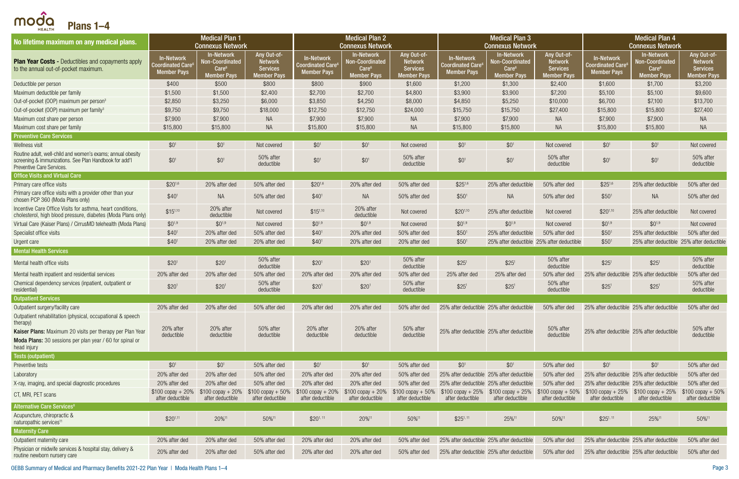| No lifetime maximum on any medical plans.                                                                                                          |                                                                        | <b>Medical Plan 1</b><br><b>Connexus Network</b>                                |                                                                        |                                                                   | <b>Medical Plan 2</b><br><b>Connexus Network</b>                                       |                                                                        |                                                                    | <b>Medical Plan 3</b><br><b>Connexus Network</b>                                                                   |                                                                        |                                                                                 | <b>Medical Plan 4</b><br><b>Connexus Network</b>                         |                                                                        |
|----------------------------------------------------------------------------------------------------------------------------------------------------|------------------------------------------------------------------------|---------------------------------------------------------------------------------|------------------------------------------------------------------------|-------------------------------------------------------------------|----------------------------------------------------------------------------------------|------------------------------------------------------------------------|--------------------------------------------------------------------|--------------------------------------------------------------------------------------------------------------------|------------------------------------------------------------------------|---------------------------------------------------------------------------------|--------------------------------------------------------------------------|------------------------------------------------------------------------|
| <b>Plan Year Costs - Deductibles and copayments apply</b><br>to the annual out-of-pocket maximum.                                                  | <b>In-Network</b><br>Coordinated Care $^{\rm 6}$<br><b>Member Pays</b> | <b>In-Network</b><br>Non-Coordinated<br>Care <sup>6</sup><br><b>Member Pays</b> | Any Out-of-<br><b>Network</b><br><b>Services</b><br><b>Member Pays</b> | In-Network<br>Coordinated Care <sup>6</sup><br><b>Member Pays</b> | <b>In-Network</b><br><b>Non-Coordinated</b><br>Care <sup>6</sup><br><b>Member Pays</b> | Any Out-of-<br><b>Network</b><br><b>Services</b><br><b>Member Pays</b> | <b>In-Network</b><br><b>Coordinated Care</b><br><b>Member Pays</b> | <b>In-Network</b><br>Non-Coordinated<br>Care <sup>6</sup><br><b>Member Pays</b>                                    | Any Out-of-<br><b>Network</b><br><b>Services</b><br><b>Member Pays</b> | <b>In-Network</b><br><b>Coordinated Care</b> <sup>6</sup><br><b>Member Pays</b> | <b>In-Network</b><br>Non-Coordinated<br>Care <sup>6</sup><br>lember Pays | Any Out-of-<br><b>Network</b><br><b>Services</b><br><b>Member Pays</b> |
| Deductible per person                                                                                                                              | \$400                                                                  | \$500                                                                           | \$800                                                                  | \$800                                                             | \$900                                                                                  | \$1,600                                                                | \$1,200                                                            | \$1,300                                                                                                            | \$2,400                                                                | \$1,600                                                                         | \$1,700                                                                  | \$3,200                                                                |
| Maximum deductible per family                                                                                                                      | \$1,500                                                                | \$1,500                                                                         | \$2,400                                                                | \$2,700                                                           | \$2,700                                                                                | \$4,800                                                                | \$3,900                                                            | \$3,900                                                                                                            | \$7,200                                                                | \$5,100                                                                         | \$5,100                                                                  | \$9,600                                                                |
| Out-of-pocket (OOP) maximum per person <sup>3</sup>                                                                                                | \$2,850                                                                | \$3,250                                                                         | \$6,000                                                                | \$3,850                                                           | \$4,250                                                                                | \$8,000                                                                | \$4,850                                                            | \$5,250                                                                                                            | \$10,000                                                               | \$6,700                                                                         | \$7,100                                                                  | \$13,700                                                               |
| Out-of-pocket (OOP) maximum per family <sup>3</sup>                                                                                                | \$9,750                                                                | \$9,750                                                                         | \$18,000                                                               | \$12,750                                                          | \$12,750                                                                               | \$24,000                                                               | \$15,750                                                           | \$15,750                                                                                                           | \$27,400                                                               | \$15,800                                                                        | \$15,800                                                                 | \$27,400                                                               |
| Maximum cost share per person                                                                                                                      | \$7,900                                                                | \$7,900                                                                         | <b>NA</b>                                                              | \$7,900                                                           | \$7,900                                                                                | NA                                                                     | \$7,900                                                            | \$7,900                                                                                                            | NA.                                                                    | \$7,900                                                                         | \$7,900                                                                  | <b>NA</b>                                                              |
| Maximum cost share per family                                                                                                                      | \$15,800                                                               | \$15,800                                                                        | <b>NA</b>                                                              | \$15,800                                                          | \$15,800                                                                               | <b>NA</b>                                                              | \$15,800                                                           | \$15,800                                                                                                           | NA                                                                     | \$15,800                                                                        | \$15,800                                                                 | <b>NA</b>                                                              |
| <b>Preventive Care Services</b>                                                                                                                    |                                                                        |                                                                                 |                                                                        |                                                                   |                                                                                        |                                                                        |                                                                    |                                                                                                                    |                                                                        |                                                                                 |                                                                          |                                                                        |
| Wellness visit                                                                                                                                     | \$0 <sup>1</sup>                                                       | $$0^1$                                                                          | Not covered                                                            | $$0^1$                                                            | $$0^1$                                                                                 | Not covered                                                            | \$0 <sup>1</sup>                                                   | $$0^1$$                                                                                                            | Not covered                                                            | $$0^1$                                                                          | $$0^1$                                                                   | Not covered                                                            |
| Routine adult, well-child and women's exams; annual obesity<br>screening & immunizations. See Plan Handbook for add'l<br>Preventive Care Services. | \$0 <sup>1</sup>                                                       | $$0^1$                                                                          | 50% after<br>deductible                                                | \$0 <sup>1</sup>                                                  | \$0 <sup>1</sup>                                                                       | 50% after<br>deductible                                                | $$0^1$$                                                            | $$0^1$$                                                                                                            | 50% after<br>deductible                                                | $$0^1$$                                                                         | \$0 <sup>1</sup>                                                         | 50% after<br>deductible                                                |
| <b>Office Visits and Virtual Care</b>                                                                                                              |                                                                        |                                                                                 |                                                                        |                                                                   |                                                                                        |                                                                        |                                                                    |                                                                                                                    |                                                                        |                                                                                 |                                                                          |                                                                        |
| Primary care office visits                                                                                                                         | $$20^{1,6}$                                                            | 20% after ded                                                                   | 50% after ded                                                          | $$20^{1,6}$                                                       | 20% after ded                                                                          | 50% after ded                                                          | $$25^{1,6}$                                                        | 25% after deductible                                                                                               | 50% after ded                                                          | $$25^{1,6}$                                                                     | 25% after deductible                                                     | 50% after ded                                                          |
| Primary care office visits with a provider other than your<br>chosen PCP 360 (Moda Plans only)                                                     | \$40 <sup>1</sup>                                                      | <b>NA</b>                                                                       | 50% after ded                                                          | \$40 <sup>1</sup>                                                 | NA                                                                                     | 50% after ded                                                          | \$50 <sup>1</sup>                                                  | <b>NA</b>                                                                                                          | 50% after ded                                                          | \$50 <sup>1</sup>                                                               | <b>NA</b>                                                                | 50% after ded                                                          |
| Incentive Care Office Visits for asthma, heart conditions,<br>cholesterol, high blood pressure, diabetes (Moda Plans only)                         | $$15^{1,10}$                                                           | 20% after<br>deductible                                                         | Not covered                                                            | $$15^{1,10}$                                                      | 20% after<br>deductible                                                                | Not covered                                                            | $$20^{1,10}$                                                       | 25% after deductible                                                                                               | Not covered                                                            | $$20^{1,10}$                                                                    | 25% after deductible                                                     | Not covered                                                            |
| Virtual Care (Kaiser Plans) / CirrusMD telehealth (Moda Plans)                                                                                     | $$0^{1,9}$                                                             | $$0^{1,9}$                                                                      | Not covered                                                            | $$0^{1,9}$                                                        | $$0^{1,9}$                                                                             | Not covered                                                            | $$0^{1,9}$                                                         | $$0^{1,9}$                                                                                                         | Not covered                                                            | $$0^{1,9}$                                                                      | $$0^{1,9}$                                                               | Not covered                                                            |
| Specialist office visits                                                                                                                           | \$40 <sup>1</sup>                                                      | 20% after ded                                                                   | 50% after ded                                                          | \$40 <sup>1</sup>                                                 | 20% after ded                                                                          | 50% after ded                                                          | \$50 <sup>1</sup>                                                  | 25% after deductible                                                                                               | 50% after ded                                                          | \$50 <sup>1</sup>                                                               | 25% after deductible                                                     | 50% after ded                                                          |
| Urgent care                                                                                                                                        | \$40 <sup>1</sup>                                                      | 20% after ded                                                                   | 20% after ded                                                          | \$40 <sup>1</sup>                                                 | 20% after ded                                                                          | 20% after ded                                                          | \$50 <sup>1</sup>                                                  | 25% after deductible 25% after deductible                                                                          |                                                                        | \$50 <sup>1</sup>                                                               | 25% after deductible 25% after deductible                                |                                                                        |
| <b>Mental Health Services</b>                                                                                                                      |                                                                        |                                                                                 |                                                                        |                                                                   |                                                                                        |                                                                        |                                                                    |                                                                                                                    |                                                                        |                                                                                 |                                                                          |                                                                        |
| Mental health office visits                                                                                                                        | \$20 <sup>1</sup>                                                      | \$20 <sup>1</sup>                                                               | 50% after<br>deductible                                                | \$20 <sup>1</sup>                                                 | \$20 <sup>1</sup>                                                                      | 50% after<br>deductible                                                | \$25 <sup>1</sup>                                                  | \$25 <sup>1</sup>                                                                                                  | 50% after<br>deductible                                                | \$25 <sup>1</sup>                                                               | \$25 <sup>1</sup>                                                        | 50% after<br>deductible                                                |
| Mental health inpatient and residential services                                                                                                   | 20% after ded                                                          | 20% after ded                                                                   | 50% after ded                                                          | 20% after ded                                                     | 20% after ded                                                                          | 50% after ded                                                          | 25% after ded                                                      | 25% after ded                                                                                                      | 50% after ded                                                          | 25% after deductible 25% after deductible                                       |                                                                          | 50% after ded                                                          |
| Chemical dependency services (inpatient, outpatient or<br>residential)                                                                             | \$20 <sup>1</sup>                                                      | \$20 <sup>1</sup>                                                               | 50% after<br>deductible                                                | \$20 <sup>1</sup>                                                 | \$20 <sup>1</sup>                                                                      | 50% after<br>deductible                                                | \$25 <sup>1</sup>                                                  | \$25 <sup>1</sup>                                                                                                  | 50% after<br>deductible                                                | \$25 <sup>1</sup>                                                               | \$25 <sup>1</sup>                                                        | 50% after<br>deductible                                                |
| <b>Outpatient Services</b>                                                                                                                         |                                                                        |                                                                                 |                                                                        |                                                                   |                                                                                        |                                                                        |                                                                    |                                                                                                                    |                                                                        |                                                                                 |                                                                          |                                                                        |
| Outpatient surgery/facility care<br>Outpatient rehabilitation (physical, occupational & speech                                                     | 20% after ded                                                          | 20% after ded                                                                   | 50% after ded                                                          | 20% after ded                                                     | 20% after ded                                                                          | 50% after ded                                                          | 25% after deductible 25% after deductible                          |                                                                                                                    | 50% after ded                                                          | 25% after deductible 25% after deductible                                       |                                                                          | 50% after ded                                                          |
| therapy)<br>Kaiser Plans: Maximum 20 visits per therapy per Plan Year                                                                              | 20% after<br>deductible                                                | 20% after<br>deductible                                                         | 50% after<br>deductible                                                | 20% after<br>deductible                                           | 20% after<br>deductible                                                                | 50% after<br>deductible                                                | 25% after deductible 25% after deductible                          |                                                                                                                    | 50% after<br>deductible                                                | 25% after deductible 25% after deductible                                       |                                                                          | 50% after<br>deductible                                                |
| Moda Plans: 30 sessions per plan year / 60 for spinal or<br>head injury                                                                            |                                                                        |                                                                                 |                                                                        |                                                                   |                                                                                        |                                                                        |                                                                    |                                                                                                                    |                                                                        |                                                                                 |                                                                          |                                                                        |
| <b>Tests (outpatient)</b>                                                                                                                          |                                                                        |                                                                                 |                                                                        |                                                                   |                                                                                        |                                                                        |                                                                    |                                                                                                                    |                                                                        |                                                                                 |                                                                          |                                                                        |
| Preventive tests                                                                                                                                   | \$0 <sup>1</sup>                                                       | $$0^1$                                                                          | 50% after ded                                                          | \$0 <sup>1</sup>                                                  | $$0^1$                                                                                 | 50% after ded                                                          | \$0 <sup>1</sup>                                                   | \$0 <sup>1</sup>                                                                                                   | 50% after ded                                                          | $$0^1$                                                                          | $$0^1$                                                                   | 50% after ded                                                          |
| Laboratory                                                                                                                                         | 20% after ded                                                          | 20% after ded                                                                   | 50% after ded                                                          | 20% after ded                                                     | 20% after ded                                                                          | 50% after ded                                                          | 25% after deductible 25% after deductible                          |                                                                                                                    | 50% after ded                                                          | 25% after deductible 25% after deductible                                       |                                                                          | 50% after ded                                                          |
| X-ray, imaging, and special diagnostic procedures                                                                                                  | 20% after ded                                                          | 20% after ded                                                                   | 50% after ded                                                          | 20% after ded                                                     | 20% after ded                                                                          | 50% after ded                                                          | 25% after deductible 25% after deductible                          |                                                                                                                    | 50% after ded                                                          | 25% after deductible 25% after deductible                                       |                                                                          | 50% after ded                                                          |
| CT, MRI, PET scans                                                                                                                                 | $$100$ copay + 20%<br>after deductible                                 | $$100$ copay + 20%<br>after deductible                                          | $$100$ copay + 50%<br>after deductible                                 | $$100$ copay + 20%<br>after deductible                            | $$100$ copay + 20%<br>after deductible                                                 | $$100$ copay + 50%<br>after deductible                                 | after deductible                                                   | $$100$ copay + 25% $$100$ copay + 25% $$100$ copay + 50% $$100$ copay + 25% $$100$ copay + 25%<br>after deductible | after deductible                                                       | after deductible                                                                | after deductible                                                         | $$100$ copay + 50%<br>after deductible                                 |
| Alternative Care Services <sup>8</sup>                                                                                                             |                                                                        |                                                                                 |                                                                        |                                                                   |                                                                                        |                                                                        |                                                                    |                                                                                                                    |                                                                        |                                                                                 |                                                                          |                                                                        |
| Acupuncture, chiropractic &<br>naturopathic services <sup>11</sup>                                                                                 | $$20^{1,11}$                                                           | 20% <sup>11</sup>                                                               | 50%11                                                                  | \$20 <sup>1</sup> , 11                                            | 20%11                                                                                  | 50%11                                                                  | $$25^{1,11}$                                                       | 25%11                                                                                                              | 50%11                                                                  | \$25 <sup>1, 11</sup>                                                           | 25%11                                                                    | 50%11                                                                  |
| <b>Maternity Care</b>                                                                                                                              |                                                                        |                                                                                 |                                                                        |                                                                   |                                                                                        |                                                                        |                                                                    |                                                                                                                    |                                                                        |                                                                                 |                                                                          |                                                                        |
| Outpatient maternity care                                                                                                                          | 20% after ded                                                          | 20% after ded                                                                   | 50% after ded                                                          | 20% after ded                                                     | 20% after ded                                                                          | 50% after ded                                                          | 25% after deductible 25% after deductible                          |                                                                                                                    | 50% after ded                                                          | 25% after deductible 25% after deductible                                       |                                                                          | 50% after ded                                                          |
| Physician or midwife services & hospital stay, delivery &<br>routine newborn nursery care                                                          | 20% after ded                                                          | 20% after ded                                                                   | 50% after ded                                                          | 20% after ded                                                     | 20% after ded                                                                          | 50% after ded                                                          | 25% after deductible 25% after deductible                          |                                                                                                                    | 50% after ded                                                          | 25% after deductible 25% after deductible                                       |                                                                          | 50% after ded                                                          |

<span id="page-2-0"></span>modo Plans 1–4 No lifetime maximum on any medical plans. Medical Plan 1 Medical Plan 2 Medical Plan 3 Connexus Network Connexus Network Connexus Network Any Out-of-Any Out-of-In-Network In-Network In-Network In-Network In-Network In-Network **Plan Year Costs - Deductibles and copayments apply** Non-Coordinated Network Non-Coordinated Network Non-Coordinated oordinated Care<sup>6</sup> Coordinated Care<sup>6</sup> coordinated Care<sup>®</sup> to the annual out-of-pocket maximum. Care<sup>6</sup> **Services** Care<sup>6</sup> Services Care<sup>6</sup> Member Pays **Member Pays** Member Pays Member Pays Member Pays **Member Pays** Member Pays Member Pay Deductible per person \$400 \$500 \$800 \$900 \$1,600 \$1,600 \$1,200 \$1,300 \$2,400 \$1,600 \$1,600 \$1,700 \$3,200 Maximum deductible per family \$1,500 \$1,500 \$2,700 \$2,700 \$4,800 \$3,900 \$7,200 \$5,100 \$5,100 \$9,600 Out-of-pocket (OOP) maximum per person<sup>3</sup> 52,850 \$3,250 \$3,250 \$6,000 \$3,850 \$4,250 \$8,000 \$4,850 \$5,250 Out-of-pocket (OOP) maximum per family<sup>3</sup> \$9,750 \$9,750 \$18,000 \$12,750 \$12,750 \$24,000 \$15,750 \$15,750 \$15,750 Maximum cost share per person \$7,900 \$7,900 NA \$7,900 \$7,900 NA \$7,900 \$7,900 NA \$7,900 \$7,900 NA Maximum cost share per family \$15,800 \$15,800 \$15,800 \$15,800 \$15,800 \$15,800 \$15,800 \$15,800 \$15,800 \$15,800 NA Preventive Care Services Wellness visit the same of the source of the source of the source to the source of the source of the source of the source of the source of the source of the source of the source of the source of the source of the source of Routine adult, well-child and women's exams; annual obesity  $$0<sup>1</sup>$   $$0<sup>1</sup>$   $$0<sup>1</sup>$   $$0<sup>2</sup>$  deductible 50% after  $$0<sup>1</sup>$  \$0<sup>1</sup> \$0<sup>1</sup> 50% after deductible 50% after  $$0<sup>1</sup>$  \$0<sup>1</sup> \$0<sup>1</sup> 50% after deductible screening & immunizations. See Plan Handbook for add'l **Preventive Care Services.** Office Visits and Virtual Care Primary care office visits and the section of the section of the section of the section of the section of the section of the section of the section of the section of the section of the section of the section of the section Primary care office visits with a provider other than your chosen PCP 360 (Moda Plans only) with a provider other than your stag same that the same stage of the stage of the stage of the stage of the stage of the stage of the stage of the stage of the stage of the stage of the sta Incentive Care Office Visits for asthma, heart conditions,  $$15^{1,10}$  20% after cholesterol, high blood pressure, diabetes (Moda Plans only) deductible Incentive Care Office Visits for asthma, heart conditions, 20% after **Not covered** \$15<sup>1,10</sup> 20% after deductible Virtual Care (Kaiser Plans) / CirrusMD telehealth (Moda Plans)  $$0^{1,9}$  \$0<sup>1,9</sup> Not covered \$0<sup>1,9</sup> Not covered \$0<sup>1,9</sup> Not covered \$0<sup>1,9</sup> \$0<sup>1,9</sup> \$0<sup>1,9</sup>

| <b>Alternative Care Services<sup>8</sup></b>                                              |               |               |               |               |                   |               |             |                                           |               |                                                         |       |               |
|-------------------------------------------------------------------------------------------|---------------|---------------|---------------|---------------|-------------------|---------------|-------------|-------------------------------------------|---------------|---------------------------------------------------------|-------|---------------|
| Acupuncture, chiropractic &<br>naturopathic services <sup>11</sup>                        | $$20^{1,1}$   | 20%11         | 50%11         | $$20^{1,11}$  | 20% <sup>11</sup> | 50%11         | $$251$ , 11 | 25%11                                     | 50%11         | \$25 <sup>1, 1</sup>                                    | 25%11 | 50%11         |
| <b>Maternity Care</b>                                                                     |               |               |               |               |                   |               |             |                                           |               |                                                         |       |               |
| Outpatient maternity care                                                                 | 20% after ded | 20% after ded | 50% after ded | 20% after ded | 20% after ded     | 50% after ded |             | 25% after deductible 25% after deductible |               | 50% after ded 25% after deductible 25% after deductible |       | 50% after dec |
| Physician or midwife services & hospital stay, delivery &<br>routine newborn nursery care | 20% after ded | 20% after ded | 50% after ded | 20% after ded | 20% after ded     | 50% after ded |             | 25% after deductible 25% after deductible | 50% after ded | 25% after deductible 25% after deductible               |       | 50% after dec |

OEBB Summary of Medical and Pharmacy Benefits 2021-22 Plan Year | Moda Health Plans 1–4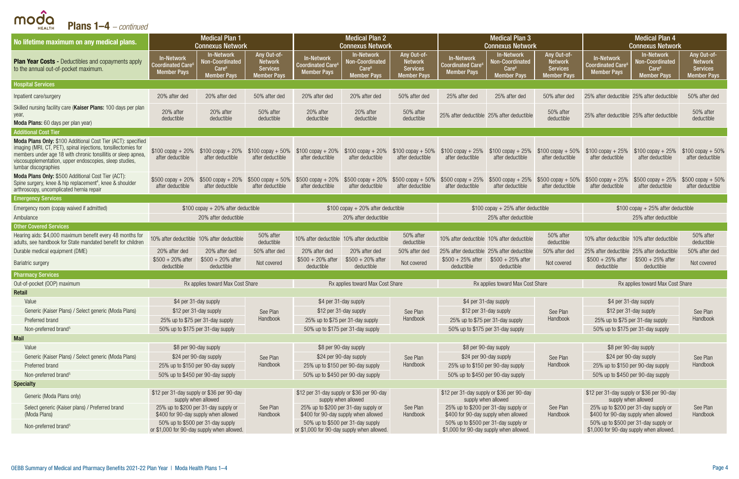| <b>Plans 1–4</b> $-$ <i>continued</i>                                                                                                                                                                                                                                              |                                                                                 |                                                                                        |                                                                        |                                                             |                                                                                                                                                          |                                                                        |                                                                    |                                                                                 |                                                                 |                                                                                 |                                                                                 |                                                                        |  |
|------------------------------------------------------------------------------------------------------------------------------------------------------------------------------------------------------------------------------------------------------------------------------------|---------------------------------------------------------------------------------|----------------------------------------------------------------------------------------|------------------------------------------------------------------------|-------------------------------------------------------------|----------------------------------------------------------------------------------------------------------------------------------------------------------|------------------------------------------------------------------------|--------------------------------------------------------------------|---------------------------------------------------------------------------------|-----------------------------------------------------------------|---------------------------------------------------------------------------------|---------------------------------------------------------------------------------|------------------------------------------------------------------------|--|
| No lifetime maximum on any medical plans.                                                                                                                                                                                                                                          |                                                                                 | <b>Medical Plan 1</b><br><b>Connexus Network</b>                                       |                                                                        |                                                             | <b>Medical Plan 2</b><br><b>Connexus Network</b>                                                                                                         |                                                                        |                                                                    | <b>Medical Plan 3</b><br><b>Connexus Network</b>                                |                                                                 |                                                                                 | <b>Medical Plan 4</b><br><b>Connexus Network</b>                                |                                                                        |  |
| <b>Plan Year Costs - Deductibles and copayments apply</b><br>to the annual out-of-pocket maximum.                                                                                                                                                                                  | <b>In-Network</b><br><b>Coordinated Care</b><br><b>Member Pays</b>              | <b>In-Network</b><br><b>Non-Coordinated</b><br>Care <sup>®</sup><br><b>Member Pays</b> | Any Out-of-<br><b>Network</b><br><b>Services</b><br><b>Member Pays</b> | In-Network<br><b>Coordinated Care</b><br><b>Member Pays</b> | <b>In-Network</b><br>Non-Coordinated<br>Care <sup>6</sup><br><b>Member Pays</b>                                                                          | Any Out-of-<br><b>Network</b><br><b>Services</b><br><b>Member Pays</b> | <b>In-Network</b><br><b>Coordinated Care</b><br><b>Member Pays</b> | <b>In-Network</b><br>Non-Coordinated<br>Care <sup>6</sup><br><b>Member Pays</b> | Any Out-of-<br><b>Network</b><br><b>Services</b><br>Member Pavs | <b>In-Network</b><br>Coordinated Care $\rm ^6$<br><b>Member Pays</b>            | <b>In-Network</b><br>Non-Coordinated<br>Care <sup>6</sup><br><b>Member Pays</b> | Any Out-of-<br><b>Network</b><br><b>Services</b><br><b>Member Pays</b> |  |
| <b>Hospital Services</b>                                                                                                                                                                                                                                                           |                                                                                 |                                                                                        |                                                                        |                                                             |                                                                                                                                                          |                                                                        |                                                                    |                                                                                 |                                                                 |                                                                                 |                                                                                 |                                                                        |  |
| Inpatient care/surgery                                                                                                                                                                                                                                                             | 20% after ded                                                                   | 20% after ded                                                                          | 50% after ded                                                          | 20% after ded                                               | 20% after ded                                                                                                                                            | 50% after ded                                                          | 25% after ded                                                      | 25% after ded                                                                   | 50% after ded                                                   | 25% after deductible 25% after deductible                                       |                                                                                 | 50% after ded                                                          |  |
| Skilled nursing facility care (Kaiser Plans: 100 days per plan<br>year,<br>Moda Plans: 60 days per plan year)                                                                                                                                                                      | 20% after<br>deductible                                                         | 20% after<br>deductible                                                                | 50% after<br>deductible                                                | 20% after<br>deductible                                     | 20% after<br>deductible                                                                                                                                  | 50% after<br>deductible                                                |                                                                    | 25% after deductible 25% after deductible                                       | 50% after<br>deductible                                         | 25% after deductible 25% after deductible                                       |                                                                                 | 50% after<br>deductible                                                |  |
| <b>Additional Cost Tier</b>                                                                                                                                                                                                                                                        |                                                                                 |                                                                                        |                                                                        |                                                             |                                                                                                                                                          |                                                                        |                                                                    |                                                                                 |                                                                 |                                                                                 |                                                                                 |                                                                        |  |
| Moda Plans Only: \$100 Additional Cost Tier (ACT): specified<br>imaging (MRI, CT, PET), spinal injections, tonsillectomies for<br>members under age 18 with chronic tonsillitis or sleep apnea,<br>viscosupplementation, upper endoscopies, sleep studies,<br>lumbar discographies | $$100$ copay + 20%<br>after deductible                                          | $$100$ copay + 20%<br>after deductible                                                 | $$100 copay + 50\%$<br>after deductible                                | after deductible                                            | $$100$ copay + 20% $$100$ copay + 20% $$100$ copay + 50% $$100$ copay + 25% $$100$ copay + 25% $$100$ copay + 50% $$100$ copay + 25%<br>after deductible | after deductible                                                       | after deductible                                                   | after deductible                                                                | after deductible                                                | after deductible                                                                | $$100$ copay + 25%<br>after deductible                                          | $$100$ copay + 50%<br>after deductible                                 |  |
| Moda Plans Only: \$500 Additional Cost Tier (ACT):<br>Spine surgery, knee & hip replacement <sup>4</sup> , knee & shoulder<br>arthroscopy, uncomplicated hernia repair                                                                                                             | $$500$ copay + 20%<br>after deductible                                          | $$500$ copay + 20%<br>after deductible                                                 | $$500$ copay + $50\%$<br>after deductible                              | after deductible                                            | \$500 copay + 20% \$500 copay + 20% \$500 copay + 50% \$500 copay + 25% \$500 copay + 25% \$500 copay + 50% \$500 copay + 25%<br>after deductible        | after deductible                                                       | after deductible                                                   | after deductible                                                                | after deductible                                                | after deductible                                                                | $$500$ copay + 25%<br>after deductible                                          | $$500$ copay + $50\%$<br>after deductible                              |  |
| <b>Emergency Services</b>                                                                                                                                                                                                                                                          |                                                                                 |                                                                                        |                                                                        |                                                             |                                                                                                                                                          |                                                                        |                                                                    |                                                                                 |                                                                 |                                                                                 |                                                                                 |                                                                        |  |
| Emergency room (copay waived if admitted)                                                                                                                                                                                                                                          |                                                                                 | $$100$ copay + 20% after deductible                                                    |                                                                        | $$100$ copay + 20% after deductible                         |                                                                                                                                                          |                                                                        |                                                                    | $$100$ copay + 25% after deductible                                             |                                                                 |                                                                                 | $$100$ copay + 25% after deductible                                             |                                                                        |  |
| Ambulance                                                                                                                                                                                                                                                                          |                                                                                 | 20% after deductible                                                                   |                                                                        | 20% after deductible                                        |                                                                                                                                                          |                                                                        |                                                                    | 25% after deductible                                                            |                                                                 |                                                                                 | 25% after deductible                                                            |                                                                        |  |
| <b>Other Covered Services</b>                                                                                                                                                                                                                                                      |                                                                                 |                                                                                        |                                                                        |                                                             |                                                                                                                                                          |                                                                        |                                                                    |                                                                                 |                                                                 |                                                                                 |                                                                                 |                                                                        |  |
| Hearing aids: \$4,000 maximum benefit every 48 months for<br>adults, see handbook for State mandated benefit for children                                                                                                                                                          |                                                                                 | 10% after deductible 10% after deductible                                              | 50% after<br>deductible                                                | 10% after deductible 10% after deductible                   |                                                                                                                                                          | 50% after<br>deductible                                                |                                                                    | 10% after deductible 10% after deductible                                       | 50% after<br>deductible                                         | 10% after deductible 10% after deductible                                       |                                                                                 | 50% after<br>deductible                                                |  |
| Durable medical equipment (DME)                                                                                                                                                                                                                                                    | 20% after ded                                                                   | 20% after ded                                                                          | 50% after ded                                                          | 20% after ded                                               | 20% after ded                                                                                                                                            | 50% after ded                                                          |                                                                    | 25% after deductible 25% after deductible                                       | 50% after ded                                                   | 25% after deductible 25% after deductible                                       |                                                                                 | 50% after ded                                                          |  |
| <b>Bariatric surgery</b>                                                                                                                                                                                                                                                           | $$500 + 20\%$ after<br>deductible                                               | $$500 + 20\%$ after<br>deductible                                                      | Not covered                                                            | $$500 + 20\%$ after<br>deductible                           | $$500 + 20\%$ after<br>deductible                                                                                                                        | Not covered                                                            | $$500 + 25\%$ after<br>deductible                                  | $$500 + 25\%$ after<br>deductible                                               | Not covered                                                     | $$500 + 25%$ after<br>deductible                                                | $$500 + 25\%$ after<br>deductible                                               | Not covered                                                            |  |
| <b>Pharmacy Services</b>                                                                                                                                                                                                                                                           |                                                                                 |                                                                                        |                                                                        |                                                             |                                                                                                                                                          |                                                                        |                                                                    |                                                                                 |                                                                 |                                                                                 |                                                                                 |                                                                        |  |
| Out-of-pocket (OOP) maximum                                                                                                                                                                                                                                                        |                                                                                 | Rx applies toward Max Cost Share                                                       |                                                                        |                                                             | Rx applies toward Max Cost Share                                                                                                                         |                                                                        |                                                                    | Rx applies toward Max Cost Share                                                |                                                                 |                                                                                 | Rx applies toward Max Cost Share                                                |                                                                        |  |
| Retail                                                                                                                                                                                                                                                                             |                                                                                 |                                                                                        |                                                                        |                                                             |                                                                                                                                                          |                                                                        |                                                                    |                                                                                 |                                                                 |                                                                                 |                                                                                 |                                                                        |  |
| Value                                                                                                                                                                                                                                                                              | \$4 per 31-day supply                                                           |                                                                                        |                                                                        | \$4 per 31-day supply                                       |                                                                                                                                                          |                                                                        |                                                                    | \$4 per 31-day supply                                                           |                                                                 | \$4 per 31-day supply                                                           |                                                                                 |                                                                        |  |
| Generic (Kaiser Plans) / Select generic (Moda Plans)                                                                                                                                                                                                                               | \$12 per 31-day supply                                                          |                                                                                        | See Plan                                                               |                                                             | \$12 per 31-day supply                                                                                                                                   | See Plan                                                               |                                                                    | \$12 per 31-day supply                                                          | See Plan                                                        | \$12 per 31-day supply                                                          |                                                                                 | See Plan                                                               |  |
| Preferred brand                                                                                                                                                                                                                                                                    | 25% up to \$75 per 31-day supply                                                |                                                                                        | Handbook                                                               |                                                             | 25% up to \$75 per 31-day supply                                                                                                                         | Handbook                                                               |                                                                    | 25% up to \$75 per 31-day supply                                                | Handbook                                                        | 25% up to \$75 per 31-day supply                                                |                                                                                 | Handbook                                                               |  |
| Non-preferred brand <sup>5</sup>                                                                                                                                                                                                                                                   | 50% up to \$175 per 31-day supply                                               |                                                                                        |                                                                        |                                                             | 50% up to \$175 per 31-day supply                                                                                                                        |                                                                        |                                                                    | 50% up to \$175 per 31-day supply                                               |                                                                 | 50% up to \$175 per 31-day supply                                               |                                                                                 |                                                                        |  |
| <b>Mail</b>                                                                                                                                                                                                                                                                        |                                                                                 |                                                                                        |                                                                        |                                                             |                                                                                                                                                          |                                                                        |                                                                    |                                                                                 |                                                                 |                                                                                 |                                                                                 |                                                                        |  |
| Value<br>Generic (Kaiser Plans) / Select generic (Moda Plans)                                                                                                                                                                                                                      | \$8 per 90-day supply<br>\$24 per 90-day supply                                 |                                                                                        |                                                                        | \$24 per 90-day supply                                      | \$8 per 90-day supply                                                                                                                                    |                                                                        |                                                                    | \$8 per 90-day supply<br>\$24 per 90-day supply                                 |                                                                 | \$8 per 90-day supply<br>\$24 per 90-day supply                                 |                                                                                 |                                                                        |  |
| Preferred brand                                                                                                                                                                                                                                                                    | 25% up to \$150 per 90-day supply                                               |                                                                                        | See Plan<br>Handbook                                                   |                                                             | 25% up to \$150 per 90-day supply                                                                                                                        | See Plan<br>Handbook                                                   |                                                                    | 25% up to \$150 per 90-day supply                                               | See Plan<br>Handbook                                            | 25% up to \$150 per 90-day supply                                               |                                                                                 | See Plan<br>Handbook                                                   |  |
| Non-preferred brand <sup>5</sup>                                                                                                                                                                                                                                                   | 50% up to \$450 per 90-day supply                                               |                                                                                        |                                                                        |                                                             | 50% up to \$450 per 90-day supply                                                                                                                        |                                                                        |                                                                    | 50% up to \$450 per 90-day supply                                               |                                                                 | 50% up to \$450 per 90-day supply                                               |                                                                                 |                                                                        |  |
| <b>Specialty</b>                                                                                                                                                                                                                                                                   |                                                                                 |                                                                                        |                                                                        |                                                             |                                                                                                                                                          |                                                                        |                                                                    |                                                                                 |                                                                 |                                                                                 |                                                                                 |                                                                        |  |
| Generic (Moda Plans only)                                                                                                                                                                                                                                                          | \$12 per 31-day supply or \$36 per 90-day                                       | supply when allowed                                                                    |                                                                        | \$12 per 31-day supply or \$36 per 90-day                   | supply when allowed                                                                                                                                      |                                                                        |                                                                    | \$12 per 31-day supply or \$36 per 90-day<br>supply when allowed                |                                                                 | \$12 per 31-day supply or \$36 per 90-day<br>supply when allowed                |                                                                                 |                                                                        |  |
| Select generic (Kaiser plans) / Preferred brand<br>(Moda Plans)                                                                                                                                                                                                                    | 25% up to \$200 per 31-day supply or<br>\$400 for 90-day supply when allowed    |                                                                                        | See Plan<br>Handbook                                                   | 25% up to \$200 per 31-day supply or                        |                                                                                                                                                          | See Plan<br>Handbook                                                   |                                                                    | 25% up to \$200 per 31-day supply or<br>\$400 for 90-day supply when allowed    | See Plan<br>Handbook                                            | 25% up to \$200 per 31-day supply or<br>\$400 for 90-day supply when allowed    |                                                                                 | See Plan<br>Handbook                                                   |  |
| Non-preferred brand <sup>5</sup>                                                                                                                                                                                                                                                   | 50% up to \$500 per 31-day supply<br>or \$1,000 for 90-day supply when allowed. |                                                                                        |                                                                        |                                                             | \$400 for 90-day supply when allowed<br>50% up to \$500 per 31-day supply<br>or \$1,000 for 90-day supply when allowed.                                  |                                                                        | \$1,000 for 90-day supply when allowed.                            | 50% up to \$500 per 31-day supply or                                            |                                                                 | 50% up to \$500 per 31-day supply or<br>\$1,000 for 90-day supply when allowed. |                                                                                 |                                                                        |  |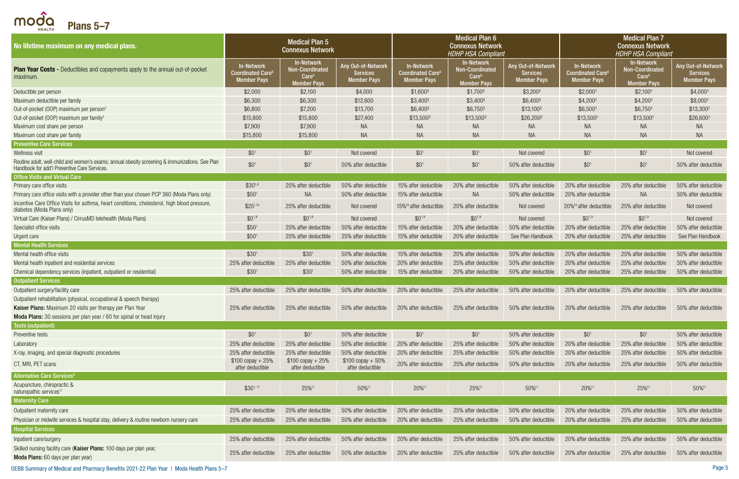<span id="page-4-0"></span> $\bigcap \bigcirc_{H \in ALTH}^{\bullet}$  Plans 5–7

| <br>No lifetime maximum on any medical plans.                                                                                                   |                                                                                | <b>Medical Plan 5</b><br><b>Connexus Network</b>                         |                                                             |                                                                                | <b>Medical Plan 6</b><br><b>Connexus Network</b><br><b>HDHP HSA Compliant</b> |                                                             |                                                                          | <b>Medical Plan 7</b><br><b>Connexus Network</b><br><b>HDHP HSA Compliant</b>   |                                                             |
|-------------------------------------------------------------------------------------------------------------------------------------------------|--------------------------------------------------------------------------------|--------------------------------------------------------------------------|-------------------------------------------------------------|--------------------------------------------------------------------------------|-------------------------------------------------------------------------------|-------------------------------------------------------------|--------------------------------------------------------------------------|---------------------------------------------------------------------------------|-------------------------------------------------------------|
| <b>Plan Year Costs -</b> Deductibles and copayments apply to the annual out-of-pocket<br>maximum.                                               | <b>In-Network</b><br><b>Coordinated Care<sup>6</sup></b><br><b>Member Pays</b> | In-Network<br>Non-Coordinated<br>Care <sup>6</sup><br><b>Member Pays</b> | Any Out-of-Network<br><b>Services</b><br><b>Member Pays</b> | <b>In-Network</b><br><b>Coordinated Care<sup>6</sup></b><br><b>Member Pays</b> | In-Network<br>Non-Coordinated<br>Care <sup>6</sup><br><b>Member Pays</b>      | Any Out-of-Network<br><b>Services</b><br><b>Member Pays</b> | <b>In-Network</b><br>Coordinated Care <sup>6</sup><br><b>Member Pays</b> | In-Network<br><b>Non-Coordinated</b><br>Care <sup>6</sup><br><b>Member Pays</b> | Any Out-of-Network<br><b>Services</b><br><b>Member Pays</b> |
| Deductible per person                                                                                                                           | \$2,000                                                                        | \$2,100                                                                  | \$4,000                                                     | $$1,600^2$                                                                     | \$1,700 <sup>2</sup>                                                          | $$3,200^2$                                                  | $$2,000^2$                                                               | $$2,100^2$                                                                      | $$4,000^2$                                                  |
| Maximum deductible per family                                                                                                                   | \$6,300                                                                        | \$6,300                                                                  | \$12,600                                                    | \$3,400 <sup>2</sup>                                                           | \$3,400 <sup>2</sup>                                                          | \$6,400 <sup>2</sup>                                        | $$4,200^2$                                                               | $$4,200^2$                                                                      | \$8,000 <sup>2</sup>                                        |
| Out-of-pocket (OOP) maximum per person <sup>3</sup>                                                                                             | \$6,800                                                                        | \$7,200                                                                  | \$13,700                                                    | \$6,4002                                                                       | \$6,750 <sup>2</sup>                                                          | \$13,1002                                                   | $$6,500^2$                                                               | $$6,750^2$                                                                      | \$13,300 <sup>2</sup>                                       |
| Out-of-pocket (OOP) maximum per family <sup>3</sup>                                                                                             | \$15,800                                                                       | \$15,800                                                                 | \$27,400                                                    | \$13,500 <sup>2</sup>                                                          | \$13,500 <sup>2</sup>                                                         | \$26,2002                                                   | $$13,500^2$                                                              | $$13,500^2$                                                                     | \$26,600 <sup>2</sup>                                       |
| Maximum cost share per person                                                                                                                   | \$7,900                                                                        | \$7,900                                                                  | <b>NA</b>                                                   | NA                                                                             | <b>NA</b>                                                                     | <b>NA</b>                                                   | <b>NA</b>                                                                | <b>NA</b>                                                                       | <b>NA</b>                                                   |
| Maximum cost share per family                                                                                                                   | \$15,800                                                                       | \$15,800                                                                 | <b>NA</b>                                                   | <b>NA</b>                                                                      | <b>NA</b>                                                                     | <b>NA</b>                                                   | <b>NA</b>                                                                | NA                                                                              | NA                                                          |
| <b>Preventive Care Services</b>                                                                                                                 |                                                                                |                                                                          |                                                             |                                                                                |                                                                               |                                                             |                                                                          |                                                                                 |                                                             |
| Wellness visit                                                                                                                                  | \$0 <sup>1</sup>                                                               | $$0^1$                                                                   | Not covered                                                 | $$0^1$                                                                         | $$0^1$                                                                        | Not covered                                                 | \$0 <sup>1</sup>                                                         | $$0^1$                                                                          | Not covered                                                 |
| Routine adult, well-child and women's exams; annual obesity screening & immunizations. See Plan<br>Handbook for add'l Preventive Care Services. | \$0 <sup>1</sup>                                                               | $$0^1$                                                                   | 50% after deductible                                        | $$0^1$                                                                         | \$0 <sup>1</sup>                                                              | 50% after deductible                                        | \$0 <sup>1</sup>                                                         | \$0 <sup>1</sup>                                                                | 50% after deductible                                        |
| <b>Office Visits and Virtual Care</b>                                                                                                           |                                                                                |                                                                          |                                                             |                                                                                |                                                                               |                                                             |                                                                          |                                                                                 |                                                             |
| Primary care office visits                                                                                                                      | $$30^{1,6}$                                                                    | 25% after deductible                                                     | 50% after deductible                                        | 15% after deductible                                                           | 20% after deductible                                                          | 50% after deductible                                        | 20% after deductible                                                     | 25% after deductible                                                            | 50% after deductible                                        |
| Primary care office visits with a provider other than your chosen PCP 360 (Moda Plans only)                                                     | \$50 <sup>1</sup>                                                              | <b>NA</b>                                                                | 50% after deductible                                        | 15% after deductible                                                           | <b>NA</b>                                                                     | 50% after deductible                                        | 20% after deductible                                                     | <b>NA</b>                                                                       | 50% after deductible                                        |
| Incentive Care Office Visits for asthma, heart conditions, cholesterol, high blood pressure,<br>diabetes (Moda Plans only)                      | $$25^{1,10}$                                                                   | 25% after deductible                                                     | Not covered                                                 | 15% <sup>10</sup> after deductible                                             | 20% after deductible                                                          | Not covered                                                 | 20% <sup>10</sup> after deductible                                       | 25% after deductible                                                            | Not covered                                                 |
| Virtual Care (Kaiser Plans) / CirrusMD telehealth (Moda Plans)                                                                                  | $$0^{1,9}$                                                                     | $$0^{1,9}$                                                               | Not covered                                                 | $$0^{1,9}$                                                                     | $$0^{1,9}$                                                                    | Not covered                                                 | $$0^{1,9}$                                                               | $$0^{1,9}$                                                                      | Not covered                                                 |
| Specialist office visits                                                                                                                        | \$50 <sup>1</sup>                                                              | 25% after deductible                                                     | 50% after deductible                                        | 15% after deductible                                                           | 20% after deductible                                                          | 50% after deductible                                        | 20% after deductible                                                     | 25% after deductible                                                            | 50% after deductible                                        |
| Urgent care                                                                                                                                     | \$50 <sup>1</sup>                                                              | 25% after deductible                                                     | 25% after deductible                                        | 15% after deductible                                                           | 20% after deductible                                                          | See Plan Handbook                                           | 20% after deductible                                                     | 25% after deductible                                                            | See Plan Handbook                                           |
| <b>Mental Health Services</b>                                                                                                                   |                                                                                |                                                                          |                                                             |                                                                                |                                                                               |                                                             |                                                                          |                                                                                 |                                                             |
| Mental health office visits                                                                                                                     | \$30 <sup>1</sup>                                                              | \$30 <sup>1</sup>                                                        | 50% after deductible                                        | 15% after deductible                                                           | 20% after deductible                                                          | 50% after deductible                                        | 20% after deductible                                                     | 25% after deductible                                                            | 50% after deductible                                        |
| Mental health inpatient and residential services                                                                                                | 25% after deductible                                                           | 25% after deductible                                                     | 50% after deductible                                        | 20% after deductible                                                           | 25% after deductible                                                          | 50% after deductible                                        | 20% after deductible                                                     | 25% after deductible                                                            | 50% after deductible                                        |
| Chemical dependency services (inpatient, outpatient or residential)                                                                             | \$30 <sup>1</sup>                                                              | \$30 <sup>1</sup>                                                        | 50% after deductible                                        | 15% after deductible                                                           | 20% after deductible                                                          | 50% after deductible                                        | 20% after deductible                                                     | 25% after deductible                                                            | 50% after deductible                                        |
| <b>Outpatient Services</b>                                                                                                                      |                                                                                |                                                                          |                                                             |                                                                                |                                                                               |                                                             |                                                                          |                                                                                 |                                                             |
| Outpatient surgery/facility care                                                                                                                | 25% after deductible                                                           | 25% after deductible                                                     | 50% after deductible                                        | 20% after deductible                                                           | 25% after deductible                                                          | 50% after deductible                                        | 20% after deductible                                                     | 25% after deductible                                                            | 50% after deductible                                        |
| Outpatient rehabilitation (physical, occupational & speech therapy)                                                                             |                                                                                |                                                                          |                                                             |                                                                                |                                                                               |                                                             |                                                                          |                                                                                 |                                                             |
| Kaiser Plans: Maximum 20 visits per therapy per Plan Year                                                                                       | 25% after deductible                                                           | 25% after deductible                                                     | 50% after deductible                                        | 20% after deductible                                                           | 25% after deductible                                                          | 50% after deductible                                        | 20% after deductible                                                     | 25% after deductible                                                            | 50% after deductible                                        |
| Moda Plans: 30 sessions per plan year / 60 for spinal or head injury                                                                            |                                                                                |                                                                          |                                                             |                                                                                |                                                                               |                                                             |                                                                          |                                                                                 |                                                             |
| <b>Tests (outpatient)</b>                                                                                                                       |                                                                                |                                                                          |                                                             |                                                                                |                                                                               |                                                             |                                                                          |                                                                                 |                                                             |
| Preventive tests                                                                                                                                | \$0 <sup>1</sup>                                                               | \$0 <sup>1</sup>                                                         | 50% after deductible                                        | \$0 <sup>1</sup>                                                               | \$0 <sup>1</sup>                                                              | 50% after deductible                                        | \$0 <sup>1</sup>                                                         | $$0^1$$                                                                         | 50% after deductible                                        |
| Laboratory                                                                                                                                      | 25% after deductible                                                           | 25% after deductible                                                     | 50% after deductible                                        | 20% after deductible                                                           | 25% after deductible                                                          | 50% after deductible                                        | 20% after deductible                                                     | 25% after deductible                                                            | 50% after deductible                                        |
| X-ray, imaging, and special diagnostic procedures                                                                                               | 25% after deductible                                                           | 25% after deductible                                                     | 50% after deductible                                        | 20% after deductible                                                           | 25% after deductible                                                          | 50% after deductible                                        | 20% after deductible                                                     | 25% after deductible                                                            | 50% after deductible                                        |
| CT, MRI, PET scans                                                                                                                              | $$100$ copay + 25%<br>after deductible                                         | $$100$ copay + 25%<br>after deductible                                   | $$100$ copay + 50%<br>after deductible                      | 20% after deductible                                                           | 25% after deductible                                                          | 50% after deductible                                        | 20% after deductible                                                     | 25% after deductible                                                            | 50% after deductible                                        |
| <b>Alternative Care Services<sup>8</sup></b>                                                                                                    |                                                                                |                                                                          |                                                             |                                                                                |                                                                               |                                                             |                                                                          |                                                                                 |                                                             |
| Acupuncture, chiropractic &<br>naturopathic services <sup>11</sup>                                                                              | $$30^{1,11}$                                                                   | 25%11                                                                    | 50%11                                                       | 20% <sup>11</sup>                                                              | 25%11                                                                         | 50%11                                                       | 20% <sup>11</sup>                                                        | 25%11                                                                           | 50%11                                                       |
| <b>Maternity Care</b>                                                                                                                           |                                                                                |                                                                          |                                                             |                                                                                |                                                                               |                                                             |                                                                          |                                                                                 |                                                             |
| Outpatient maternity care                                                                                                                       | 25% after deductible                                                           | 25% after deductible                                                     | 50% after deductible                                        | 20% after deductible                                                           | 25% after deductible                                                          | 50% after deductible                                        | 20% after deductible                                                     | 25% after deductible                                                            | 50% after deductible                                        |
| Physician or midwife services & hospital stay, delivery & routine newborn nursery care                                                          | 25% after deductible                                                           | 25% after deductible                                                     | 50% after deductible                                        | 20% after deductible                                                           | 25% after deductible                                                          | 50% after deductible                                        | 20% after deductible                                                     | 25% after deductible                                                            | 50% after deductible                                        |
| <b>Hospital Services</b>                                                                                                                        |                                                                                |                                                                          |                                                             |                                                                                |                                                                               |                                                             |                                                                          |                                                                                 |                                                             |
| Inpatient care/surgery                                                                                                                          | 25% after deductible                                                           | 25% after deductible                                                     | 50% after deductible                                        | 20% after deductible                                                           | 25% after deductible                                                          | 50% after deductible                                        | 20% after deductible                                                     | 25% after deductible                                                            | 50% after deductible                                        |
| Skilled nursing facility care (Kaiser Plans: 100 days per plan year,                                                                            |                                                                                |                                                                          |                                                             |                                                                                |                                                                               |                                                             |                                                                          |                                                                                 |                                                             |
| Moda Plans: 60 days per plan year)                                                                                                              | 25% after deductible                                                           | 25% after deductible                                                     | 50% after deductible                                        | 20% after deductible                                                           | 25% after deductible                                                          | 50% after deductible                                        | 20% after deductible                                                     | 25% after deductible                                                            | 50% after deductible                                        |

OEBB Summary of Medical and Pharmacy Benefits 2021-22 Plan Year | Moda Health Plans 5–7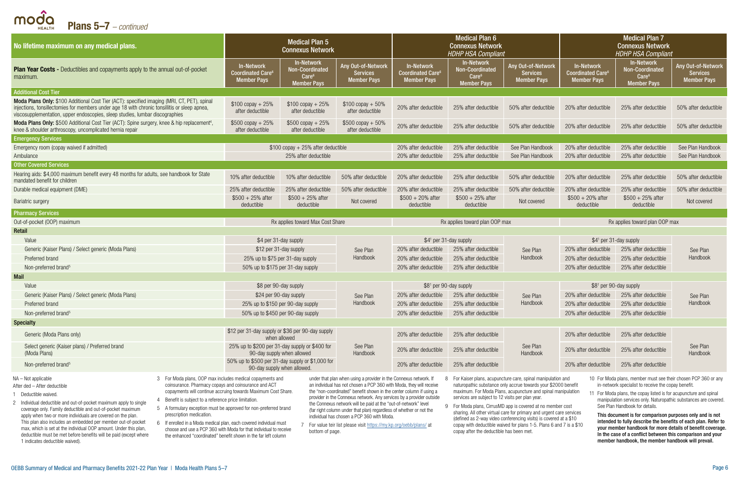| <b>Plans 5–7</b> – continued<br><b>HEALTH</b>                                                                                                                                                                                                                                                                                                                                                                                                                                                                                                                                                                                                                                                                                                                                                                                                                                                                                                                                                                                                     |                                                                                 |                                                                                  |                                                                                                                                                                                                                                                                                                                                                                                                                                                                                                                                                      |                                                                          |                                                                                              |                                                                                                                                                                                                                                                                                                                                                                                                                                                                                |                                                                          |                                                                                                                                                                                                                                                                                                                                                                                                                                                                                                                                                           |                                                             |  |
|---------------------------------------------------------------------------------------------------------------------------------------------------------------------------------------------------------------------------------------------------------------------------------------------------------------------------------------------------------------------------------------------------------------------------------------------------------------------------------------------------------------------------------------------------------------------------------------------------------------------------------------------------------------------------------------------------------------------------------------------------------------------------------------------------------------------------------------------------------------------------------------------------------------------------------------------------------------------------------------------------------------------------------------------------|---------------------------------------------------------------------------------|----------------------------------------------------------------------------------|------------------------------------------------------------------------------------------------------------------------------------------------------------------------------------------------------------------------------------------------------------------------------------------------------------------------------------------------------------------------------------------------------------------------------------------------------------------------------------------------------------------------------------------------------|--------------------------------------------------------------------------|----------------------------------------------------------------------------------------------|--------------------------------------------------------------------------------------------------------------------------------------------------------------------------------------------------------------------------------------------------------------------------------------------------------------------------------------------------------------------------------------------------------------------------------------------------------------------------------|--------------------------------------------------------------------------|-----------------------------------------------------------------------------------------------------------------------------------------------------------------------------------------------------------------------------------------------------------------------------------------------------------------------------------------------------------------------------------------------------------------------------------------------------------------------------------------------------------------------------------------------------------|-------------------------------------------------------------|--|
| No lifetime maximum on any medical plans.                                                                                                                                                                                                                                                                                                                                                                                                                                                                                                                                                                                                                                                                                                                                                                                                                                                                                                                                                                                                         |                                                                                 | <b>Medical Plan 5</b><br><b>Connexus Network</b>                                 |                                                                                                                                                                                                                                                                                                                                                                                                                                                                                                                                                      |                                                                          | <b>Medical Plan 6</b><br><b>Connexus Network</b><br><b>HDHP HSA Compliant</b>                |                                                                                                                                                                                                                                                                                                                                                                                                                                                                                |                                                                          | <b>Medical Plan 7</b><br><b>Connexus Network</b><br><b>HDHP HSA Compliant</b>                                                                                                                                                                                                                                                                                                                                                                                                                                                                             |                                                             |  |
| <b>Plan Year Costs -</b> Deductibles and copayments apply to the annual out-of-pocket<br>maximum.                                                                                                                                                                                                                                                                                                                                                                                                                                                                                                                                                                                                                                                                                                                                                                                                                                                                                                                                                 | <b>In-Network</b><br><b>Coordinated Care<sup>6</sup></b><br><b>Member Pays</b>  | In-Network<br><b>Non-Coordinated</b><br>Care <sup>6</sup><br><b>Member Pays</b>  | Any Out-of-Network<br><b>Services</b><br><b>Member Pays</b>                                                                                                                                                                                                                                                                                                                                                                                                                                                                                          | <b>In-Network</b><br>Coordinated Care <sup>6</sup><br><b>Member Pays</b> | <b>In-Network</b><br>Non-Coordinated<br>$\text{Care}^6$<br><b>Member Pays</b>                | Any Out-of-Network<br><b>Services</b><br><b>Member Pays</b>                                                                                                                                                                                                                                                                                                                                                                                                                    | <b>In-Network</b><br>Coordinated Care <sup>6</sup><br><b>Member Pays</b> | In-Network<br>Non-Coordinated<br>Care <sup>6</sup><br><b>Member Pays</b>                                                                                                                                                                                                                                                                                                                                                                                                                                                                                  | Any Out-of-Network<br><b>Services</b><br><b>Member Pays</b> |  |
| <b>Additional Cost Tier</b>                                                                                                                                                                                                                                                                                                                                                                                                                                                                                                                                                                                                                                                                                                                                                                                                                                                                                                                                                                                                                       |                                                                                 |                                                                                  |                                                                                                                                                                                                                                                                                                                                                                                                                                                                                                                                                      |                                                                          |                                                                                              |                                                                                                                                                                                                                                                                                                                                                                                                                                                                                |                                                                          |                                                                                                                                                                                                                                                                                                                                                                                                                                                                                                                                                           |                                                             |  |
| Moda Plans Only: \$100 Additional Cost Tier (ACT): specified imaging (MRI, CT, PET), spinal<br>injections, tonsillectomies for members under age 18 with chronic tonsillitis or sleep apnea,<br>viscosupplementation, upper endoscopies, sleep studies, lumbar discographies                                                                                                                                                                                                                                                                                                                                                                                                                                                                                                                                                                                                                                                                                                                                                                      | $$100$ copay + 25%<br>after deductible                                          | $$100$ copay + 25%<br>after deductible                                           | $$100$ copay + 50%<br>after deductible                                                                                                                                                                                                                                                                                                                                                                                                                                                                                                               | 20% after deductible                                                     | 25% after deductible                                                                         | 50% after deductible                                                                                                                                                                                                                                                                                                                                                                                                                                                           | 20% after deductible                                                     | 25% after deductible                                                                                                                                                                                                                                                                                                                                                                                                                                                                                                                                      | 50% after deductible                                        |  |
| Moda Plans Only: \$500 Additional Cost Tier (ACT): Spine surgery, knee & hip replacement <sup>4</sup> ,<br>knee & shoulder arthroscopy, uncomplicated hernia repair                                                                                                                                                                                                                                                                                                                                                                                                                                                                                                                                                                                                                                                                                                                                                                                                                                                                               | $$500$ copay + 25%<br>after deductible                                          | $$500$ copay + 25%<br>$$500$ copay + 50%<br>after deductible<br>after deductible |                                                                                                                                                                                                                                                                                                                                                                                                                                                                                                                                                      | 20% after deductible                                                     | 25% after deductible                                                                         | 50% after deductible                                                                                                                                                                                                                                                                                                                                                                                                                                                           | 20% after deductible                                                     | 25% after deductible                                                                                                                                                                                                                                                                                                                                                                                                                                                                                                                                      | 50% after deductible                                        |  |
| <b>Emergency Services</b>                                                                                                                                                                                                                                                                                                                                                                                                                                                                                                                                                                                                                                                                                                                                                                                                                                                                                                                                                                                                                         |                                                                                 |                                                                                  |                                                                                                                                                                                                                                                                                                                                                                                                                                                                                                                                                      |                                                                          |                                                                                              |                                                                                                                                                                                                                                                                                                                                                                                                                                                                                |                                                                          |                                                                                                                                                                                                                                                                                                                                                                                                                                                                                                                                                           |                                                             |  |
| Emergency room (copay waived if admitted)                                                                                                                                                                                                                                                                                                                                                                                                                                                                                                                                                                                                                                                                                                                                                                                                                                                                                                                                                                                                         |                                                                                 | $$100$ copay + 25% after deductible                                              |                                                                                                                                                                                                                                                                                                                                                                                                                                                                                                                                                      | 20% after deductible                                                     | 25% after deductible                                                                         | See Plan Handbook                                                                                                                                                                                                                                                                                                                                                                                                                                                              | 20% after deductible                                                     | 25% after deductible                                                                                                                                                                                                                                                                                                                                                                                                                                                                                                                                      | See Plan Handbook                                           |  |
| Ambulance                                                                                                                                                                                                                                                                                                                                                                                                                                                                                                                                                                                                                                                                                                                                                                                                                                                                                                                                                                                                                                         |                                                                                 | 25% after deductible                                                             |                                                                                                                                                                                                                                                                                                                                                                                                                                                                                                                                                      | 20% after deductible                                                     | 25% after deductible                                                                         | See Plan Handbook                                                                                                                                                                                                                                                                                                                                                                                                                                                              | 20% after deductible                                                     | 25% after deductible                                                                                                                                                                                                                                                                                                                                                                                                                                                                                                                                      | See Plan Handbook                                           |  |
| <b>Other Covered Services</b><br>Hearing aids: \$4,000 maximum benefit every 48 months for adults, see handbook for State<br>mandated benefit for children                                                                                                                                                                                                                                                                                                                                                                                                                                                                                                                                                                                                                                                                                                                                                                                                                                                                                        | 10% after deductible                                                            | 10% after deductible                                                             | 50% after deductible                                                                                                                                                                                                                                                                                                                                                                                                                                                                                                                                 | 20% after deductible                                                     | 25% after deductible                                                                         | 50% after deductible                                                                                                                                                                                                                                                                                                                                                                                                                                                           | 20% after deductible                                                     | 25% after deductible                                                                                                                                                                                                                                                                                                                                                                                                                                                                                                                                      | 50% after deductible                                        |  |
| Durable medical equipment (DME)                                                                                                                                                                                                                                                                                                                                                                                                                                                                                                                                                                                                                                                                                                                                                                                                                                                                                                                                                                                                                   | 25% after deductible                                                            | 25% after deductible                                                             | 50% after deductible                                                                                                                                                                                                                                                                                                                                                                                                                                                                                                                                 | 20% after deductible                                                     | 25% after deductible                                                                         | 50% after deductible                                                                                                                                                                                                                                                                                                                                                                                                                                                           | 20% after deductible                                                     | 25% after deductible                                                                                                                                                                                                                                                                                                                                                                                                                                                                                                                                      | 50% after deductible                                        |  |
| <b>Bariatric surgery</b>                                                                                                                                                                                                                                                                                                                                                                                                                                                                                                                                                                                                                                                                                                                                                                                                                                                                                                                                                                                                                          | $$500 + 25%$ after<br>deductible                                                | $$500 + 25\%$ after<br>deductible                                                | Not covered                                                                                                                                                                                                                                                                                                                                                                                                                                                                                                                                          | $$500 + 20\%$ after<br>deductible                                        | $$500 + 25%$ after<br>deductible                                                             | Not covered                                                                                                                                                                                                                                                                                                                                                                                                                                                                    | $$500 + 20\%$ after<br>deductible                                        | $$500 + 25\%$ after<br>deductible                                                                                                                                                                                                                                                                                                                                                                                                                                                                                                                         | Not covered                                                 |  |
| <b>Pharmacy Services</b>                                                                                                                                                                                                                                                                                                                                                                                                                                                                                                                                                                                                                                                                                                                                                                                                                                                                                                                                                                                                                          |                                                                                 |                                                                                  |                                                                                                                                                                                                                                                                                                                                                                                                                                                                                                                                                      |                                                                          |                                                                                              |                                                                                                                                                                                                                                                                                                                                                                                                                                                                                |                                                                          |                                                                                                                                                                                                                                                                                                                                                                                                                                                                                                                                                           |                                                             |  |
| Out-of-pocket (OOP) maximum                                                                                                                                                                                                                                                                                                                                                                                                                                                                                                                                                                                                                                                                                                                                                                                                                                                                                                                                                                                                                       |                                                                                 | Rx applies toward Max Cost Share                                                 |                                                                                                                                                                                                                                                                                                                                                                                                                                                                                                                                                      |                                                                          | Rx applies toward plan OOP max                                                               |                                                                                                                                                                                                                                                                                                                                                                                                                                                                                |                                                                          | Rx applies toward plan OOP max                                                                                                                                                                                                                                                                                                                                                                                                                                                                                                                            |                                                             |  |
| Retail                                                                                                                                                                                                                                                                                                                                                                                                                                                                                                                                                                                                                                                                                                                                                                                                                                                                                                                                                                                                                                            |                                                                                 |                                                                                  |                                                                                                                                                                                                                                                                                                                                                                                                                                                                                                                                                      |                                                                          |                                                                                              |                                                                                                                                                                                                                                                                                                                                                                                                                                                                                |                                                                          |                                                                                                                                                                                                                                                                                                                                                                                                                                                                                                                                                           |                                                             |  |
| Value                                                                                                                                                                                                                                                                                                                                                                                                                                                                                                                                                                                                                                                                                                                                                                                                                                                                                                                                                                                                                                             | \$4 per 31-day supply                                                           |                                                                                  |                                                                                                                                                                                                                                                                                                                                                                                                                                                                                                                                                      | \$41 per 31-day supply                                                   |                                                                                              |                                                                                                                                                                                                                                                                                                                                                                                                                                                                                | \$4 <sup>1</sup> per 31-day supply                                       |                                                                                                                                                                                                                                                                                                                                                                                                                                                                                                                                                           | See Plan                                                    |  |
| Generic (Kaiser Plans) / Select generic (Moda Plans)                                                                                                                                                                                                                                                                                                                                                                                                                                                                                                                                                                                                                                                                                                                                                                                                                                                                                                                                                                                              | \$12 per 31-day supply                                                          |                                                                                  | See Plan                                                                                                                                                                                                                                                                                                                                                                                                                                                                                                                                             | 20% after deductible                                                     | 25% after deductible<br>See Plan                                                             |                                                                                                                                                                                                                                                                                                                                                                                                                                                                                | 20% after deductible                                                     | 25% after deductible                                                                                                                                                                                                                                                                                                                                                                                                                                                                                                                                      |                                                             |  |
| Preferred brand                                                                                                                                                                                                                                                                                                                                                                                                                                                                                                                                                                                                                                                                                                                                                                                                                                                                                                                                                                                                                                   | 25% up to \$75 per 31-day supply                                                |                                                                                  | Handbook                                                                                                                                                                                                                                                                                                                                                                                                                                                                                                                                             | 20% after deductible                                                     | 25% after deductible                                                                         | Handbook                                                                                                                                                                                                                                                                                                                                                                                                                                                                       | 20% after deductible                                                     | 25% after deductible                                                                                                                                                                                                                                                                                                                                                                                                                                                                                                                                      | Handbook                                                    |  |
| Non-preferred brand <sup>5</sup>                                                                                                                                                                                                                                                                                                                                                                                                                                                                                                                                                                                                                                                                                                                                                                                                                                                                                                                                                                                                                  | 50% up to \$175 per 31-day supply                                               |                                                                                  |                                                                                                                                                                                                                                                                                                                                                                                                                                                                                                                                                      | 20% after deductible                                                     | 25% after deductible                                                                         |                                                                                                                                                                                                                                                                                                                                                                                                                                                                                | 20% after deductible<br>25% after deductible                             |                                                                                                                                                                                                                                                                                                                                                                                                                                                                                                                                                           |                                                             |  |
| <b>Mail</b>                                                                                                                                                                                                                                                                                                                                                                                                                                                                                                                                                                                                                                                                                                                                                                                                                                                                                                                                                                                                                                       |                                                                                 |                                                                                  |                                                                                                                                                                                                                                                                                                                                                                                                                                                                                                                                                      |                                                                          |                                                                                              |                                                                                                                                                                                                                                                                                                                                                                                                                                                                                |                                                                          |                                                                                                                                                                                                                                                                                                                                                                                                                                                                                                                                                           |                                                             |  |
| Value                                                                                                                                                                                                                                                                                                                                                                                                                                                                                                                                                                                                                                                                                                                                                                                                                                                                                                                                                                                                                                             | \$8 per 90-day supply                                                           |                                                                                  |                                                                                                                                                                                                                                                                                                                                                                                                                                                                                                                                                      | \$8 <sup>1</sup> per 90-day supply                                       |                                                                                              |                                                                                                                                                                                                                                                                                                                                                                                                                                                                                |                                                                          | \$8 <sup>1</sup> per 90-day supply                                                                                                                                                                                                                                                                                                                                                                                                                                                                                                                        |                                                             |  |
| Generic (Kaiser Plans) / Select generic (Moda Plans)                                                                                                                                                                                                                                                                                                                                                                                                                                                                                                                                                                                                                                                                                                                                                                                                                                                                                                                                                                                              | \$24 per 90-day supply                                                          |                                                                                  | See Plan                                                                                                                                                                                                                                                                                                                                                                                                                                                                                                                                             | 20% after deductible                                                     | 25% after deductible                                                                         | See Plan                                                                                                                                                                                                                                                                                                                                                                                                                                                                       | 20% after deductible                                                     | 25% after deductible                                                                                                                                                                                                                                                                                                                                                                                                                                                                                                                                      | See Plan                                                    |  |
| Preferred brand                                                                                                                                                                                                                                                                                                                                                                                                                                                                                                                                                                                                                                                                                                                                                                                                                                                                                                                                                                                                                                   | 25% up to \$150 per 90-day supply                                               |                                                                                  | Handbook                                                                                                                                                                                                                                                                                                                                                                                                                                                                                                                                             | 20% after deductible                                                     | 25% after deductible                                                                         | Handbook                                                                                                                                                                                                                                                                                                                                                                                                                                                                       | 20% after deductible                                                     | 25% after deductible                                                                                                                                                                                                                                                                                                                                                                                                                                                                                                                                      | Handbook                                                    |  |
| Non-preferred brand <sup>5</sup>                                                                                                                                                                                                                                                                                                                                                                                                                                                                                                                                                                                                                                                                                                                                                                                                                                                                                                                                                                                                                  | 50% up to \$450 per 90-day supply                                               |                                                                                  |                                                                                                                                                                                                                                                                                                                                                                                                                                                                                                                                                      | 20% after deductible                                                     | 25% after deductible                                                                         |                                                                                                                                                                                                                                                                                                                                                                                                                                                                                | 20% after deductible                                                     | 25% after deductible                                                                                                                                                                                                                                                                                                                                                                                                                                                                                                                                      |                                                             |  |
| <b>Specialty</b>                                                                                                                                                                                                                                                                                                                                                                                                                                                                                                                                                                                                                                                                                                                                                                                                                                                                                                                                                                                                                                  |                                                                                 |                                                                                  |                                                                                                                                                                                                                                                                                                                                                                                                                                                                                                                                                      |                                                                          |                                                                                              |                                                                                                                                                                                                                                                                                                                                                                                                                                                                                |                                                                          |                                                                                                                                                                                                                                                                                                                                                                                                                                                                                                                                                           |                                                             |  |
| Generic (Moda Plans only)                                                                                                                                                                                                                                                                                                                                                                                                                                                                                                                                                                                                                                                                                                                                                                                                                                                                                                                                                                                                                         | \$12 per 31-day supply or \$36 per 90-day supply                                | when allowed                                                                     |                                                                                                                                                                                                                                                                                                                                                                                                                                                                                                                                                      | 20% after deductible                                                     | 25% after deductible                                                                         |                                                                                                                                                                                                                                                                                                                                                                                                                                                                                | 20% after deductible                                                     | 25% after deductible                                                                                                                                                                                                                                                                                                                                                                                                                                                                                                                                      |                                                             |  |
| Select generic (Kaiser plans) / Preferred brand<br>(Moda Plans)                                                                                                                                                                                                                                                                                                                                                                                                                                                                                                                                                                                                                                                                                                                                                                                                                                                                                                                                                                                   | 25% up to \$200 per 31-day supply or \$400 for<br>90-day supply when allowed    |                                                                                  | See Plan<br>Handbook                                                                                                                                                                                                                                                                                                                                                                                                                                                                                                                                 | 20% after deductible                                                     | 25% after deductible                                                                         | See Plan<br><b>Handbook</b>                                                                                                                                                                                                                                                                                                                                                                                                                                                    | 20% after deductible                                                     | 25% after deductible                                                                                                                                                                                                                                                                                                                                                                                                                                                                                                                                      | See Plan<br>Handbook                                        |  |
| Non-preferred brand <sup>5</sup>                                                                                                                                                                                                                                                                                                                                                                                                                                                                                                                                                                                                                                                                                                                                                                                                                                                                                                                                                                                                                  | 50% up to \$500 per 31-day supply or \$1,000 for<br>90-day supply when allowed. |                                                                                  |                                                                                                                                                                                                                                                                                                                                                                                                                                                                                                                                                      | 20% after deductible                                                     | 25% after deductible                                                                         |                                                                                                                                                                                                                                                                                                                                                                                                                                                                                | 20% after deductible                                                     | 25% after deductible                                                                                                                                                                                                                                                                                                                                                                                                                                                                                                                                      |                                                             |  |
| 3 For Moda plans, OOP max includes medical copayments and<br>NA – Not applicable<br>coinsurance. Pharmacy copays and coinsurance and ACT<br>After ded - After deductible<br>copayments will continue accruing towards Maximum Cost Share.<br>1 Deductible waived.<br>Benefit is subject to a reference price limitation.<br>2 Individual deductible and out-of-pocket maximum apply to single<br>5 A formulary exception must be approved for non-preferred brand<br>coverage only. Family deductible and out-of-pocket maximum<br>prescription medication.<br>apply when two or more individuals are covered on the plan.<br>This plan also includes an embedded per member out-of-pocket<br>6 If enrolled in a Moda medical plan, each covered individual must<br>max, which is set at the individual OOP amount. Under this plan,<br>choose and use a PCP 360 with Moda for that individual to receive<br>deductible must be met before benefits will be paid (except where<br>the enhanced "coordinated" benefit shown in the far left column |                                                                                 | bottom of page.                                                                  | under that plan when using a provider in the Connexus network. If<br>an individual has not chosen a PCP 360 with Moda, they will receive<br>the "non-coordinated" benefit shown in the center column if using a<br>provider in the Connexus network. Any services by a provider outside<br>the Connexus network will be paid at the "out-of-network" level<br>(far right column under that plan) regardless of whether or not the<br>individual has chosen a PCP 360 with Moda.<br>For value teir list please visit https://my.kp.org/oebb/plans/ at |                                                                          | services are subject to 12 visits per plan year.<br>copay after the deductible has been met. | For Kaiser plans, acupuncture care, spinal manipulation and<br>naturopathic substance only accrue towards your \$2000 benefit<br>maximum. For Moda Plans, acupuncture and spinal manipulation<br>For Moda plans, CirrusMD app is covered at no member cost<br>sharing. All other virtual care for primary and urgent care services<br>(defined as 2-way video conferencing visits) is covered at a \$10<br>copay with deductible waived for plans 1-5. Plans 6 and 7 is a \$10 |                                                                          | 10 For Moda plans, member must see their chosen PCP 360 or any<br>in-network specialist to receive the copay benefit.<br>11 For Moda plans, the copay listed is for acupuncture and spinal<br>manipulation services only. Naturopathic substances are covered<br>See Plan Handbook for details.<br>This document is for comparison purposes only and is not<br>intended to fully describe the benefits of each plan. Refer to<br>your member handbook for more details of benefit coverage.<br>In the case of a conflict between this comparison and your |                                                             |  |

1 indicates deductible waived).

- 
- 

In the case of a conflict between this comparison and your member handbook, the member handbook will prevail.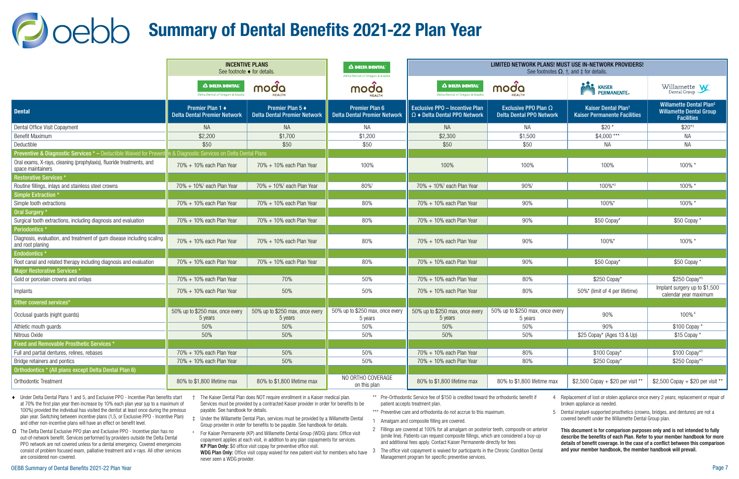<span id="page-6-0"></span>

|                                                                                           | <b>INCENTIVE PLANS</b><br>See footnote ◆ for details.   |                                                         | A DELTA DENTAL'<br>Delta Dental of Oregon & Alaska           | LIMITED NETWORK PLANS! MUST USE IN-NETWORK PROVIDERS!<br>See footnotes $\Omega$ , $\dagger$ , and $\dagger$ for details. |                                                                |                                                                        |                                                                                                  |  |  |
|-------------------------------------------------------------------------------------------|---------------------------------------------------------|---------------------------------------------------------|--------------------------------------------------------------|--------------------------------------------------------------------------------------------------------------------------|----------------------------------------------------------------|------------------------------------------------------------------------|--------------------------------------------------------------------------------------------------|--|--|
|                                                                                           | A DELTA DENTAL'<br>Delta Dental of Oregon & Alaska      | moda<br><b>JEALTH</b>                                   | moda                                                         | A DELTA DENTAL<br>Delta Dental of Oregon & Alaska                                                                        | moda                                                           | <b>NITA KAISER</b><br><b>PERMANENTE</b> ®                              | Willamette $\mathbf{W}$                                                                          |  |  |
| <b>Dental</b>                                                                             | Premier Plan 1 ♦<br><b>Delta Dental Premier Network</b> | Premier Plan 5 ♦<br><b>Delta Dental Premier Network</b> | <b>Premier Plan 6</b><br><b>Delta Dental Premier Network</b> | <b>Exclusive PPO - Incentive Plan</b><br>$\Omega$ $\bullet$ Delta Dental PPO Network                                     | Exclusive PPO Plan $\Omega$<br><b>Delta Dental PPO Network</b> | Kaiser Dental Plan <sup>t</sup><br><b>Kaiser Permanente Facilities</b> | <b>Willamette Dental Plan<sup>‡</sup></b><br><b>Willamette Dental Group</b><br><b>Facilities</b> |  |  |
| Dental Office Visit Copayment                                                             | <b>NA</b>                                               | <b>NA</b>                                               | NA.                                                          | <b>NA</b>                                                                                                                | NA                                                             | $$20*$                                                                 | $$20*3$                                                                                          |  |  |
| <b>Benefit Maximum</b>                                                                    | \$2,200                                                 | \$1,700                                                 | \$1,200                                                      | \$2,300                                                                                                                  | \$1,500                                                        | $$4,000$ ***                                                           | <b>NA</b>                                                                                        |  |  |
| Deductible                                                                                | \$50                                                    | \$50                                                    | \$50                                                         | \$50                                                                                                                     | \$50                                                           | ΝA                                                                     | <b>NA</b>                                                                                        |  |  |
| Preventive & Diagnostic Services * - Deductible Waived for Preven                         | & Diagnostic Services on Delta Dental Plans             |                                                         |                                                              |                                                                                                                          |                                                                |                                                                        |                                                                                                  |  |  |
| Oral exams, X-rays, cleaning (prophylaxis), fluoride treatments, and<br>space maintainers | 70% + 10% each Plan Year                                | 70% + 10% each Plan Year                                | 100%                                                         | 100%                                                                                                                     | 100%                                                           | 100%                                                                   | 100% *                                                                                           |  |  |
| <b>Restorative Services</b>                                                               |                                                         |                                                         |                                                              |                                                                                                                          |                                                                |                                                                        |                                                                                                  |  |  |
| Routine fillings, inlays and stainless steel crowns                                       | 70% + 10% <sup>1</sup> each Plan Year                   | 70% + 10% <sup>1</sup> each Plan Year                   | 80%1                                                         | $70\% + 10\%$ <sup>1</sup> each Plan Year                                                                                | 90%                                                            | 100%*2                                                                 | 100% *                                                                                           |  |  |
| <b>Simple Extraction *</b>                                                                |                                                         |                                                         |                                                              |                                                                                                                          |                                                                |                                                                        |                                                                                                  |  |  |
| Simple tooth extractions                                                                  | 70% + 10% each Plan Year                                | 70% + 10% each Plan Year                                | 80%                                                          | 70% + 10% each Plan Year                                                                                                 | 90%                                                            | 100%*                                                                  | 100% *                                                                                           |  |  |
| Oral Surgery *                                                                            |                                                         |                                                         |                                                              |                                                                                                                          |                                                                |                                                                        |                                                                                                  |  |  |
| Surgical tooth extractions, including diagnosis and evaluation                            | $70\% + 10\%$ each Plan Year                            | 70% + 10% each Plan Year                                | 80%                                                          | $70\% + 10\%$ each Plan Year                                                                                             | 90%                                                            | \$50 Copay*                                                            | \$50 Copay *                                                                                     |  |  |
| Periodontics*                                                                             |                                                         |                                                         |                                                              |                                                                                                                          |                                                                |                                                                        |                                                                                                  |  |  |
| Diagnosis, evaluation, and treatment of gum disease including scaling<br>and root planing | 70% + 10% each Plan Year                                | 70% + 10% each Plan Year                                | 80%                                                          | 70% + 10% each Plan Year                                                                                                 | 90%                                                            | 100%*                                                                  | 100% *                                                                                           |  |  |
| Endodontics <sup>*</sup>                                                                  |                                                         |                                                         |                                                              |                                                                                                                          |                                                                |                                                                        |                                                                                                  |  |  |
| Root canal and related therapy including diagnosis and evaluation                         | 70% + 10% each Plan Year                                | 70% + 10% each Plan Year                                | 80%                                                          | 70% + 10% each Plan Year                                                                                                 | 90%                                                            | \$50 Copay*                                                            | \$50 Copay *                                                                                     |  |  |
| Major Restorative Services *                                                              |                                                         |                                                         |                                                              |                                                                                                                          |                                                                |                                                                        |                                                                                                  |  |  |
| Gold or porcelain crowns and onlays                                                       | $70\% + 10\%$ each Plan Year                            | 70%                                                     | 50%                                                          | 70% + 10% each Plan Year                                                                                                 | 80%                                                            | \$250 Copay*                                                           | \$250 Copay*5                                                                                    |  |  |
| Implants                                                                                  | 70% + 10% each Plan Year                                | 50%                                                     | 50%                                                          | 70% + 10% each Plan Year                                                                                                 | 80%                                                            | 50%* (limit of 4 per lifetime)                                         | Implant surgery up to \$1,500<br>calendar year maximum                                           |  |  |
| Other covered services*                                                                   |                                                         |                                                         |                                                              |                                                                                                                          |                                                                |                                                                        |                                                                                                  |  |  |
| Occlusal guards (night guards)                                                            | 50% up to \$250 max, once every<br>5 years              | 50% up to \$250 max, once every<br>5 years              | 50% up to \$250 max, once every<br>5 years                   | 50% up to \$250 max, once every<br>5 years                                                                               | 50% up to \$250 max, once every<br>5 years                     | 90%                                                                    | 100% <sup>4</sup>                                                                                |  |  |
| Athletic mouth guards                                                                     | 50%                                                     | 50%                                                     | 50%                                                          | 50%                                                                                                                      | 50%                                                            | 90%                                                                    | \$100 Copay                                                                                      |  |  |
| Nitrous Oxide                                                                             | 50%                                                     | 50%                                                     | 50%                                                          | 50%                                                                                                                      | 50%                                                            | \$25 Copay* (Ages 13 & Up)                                             | \$15 Copay *                                                                                     |  |  |
| Fixed and Removable Prosthetic Services *                                                 |                                                         |                                                         |                                                              |                                                                                                                          |                                                                |                                                                        |                                                                                                  |  |  |
| Full and partial dentures, relines, rebases                                               | 70% + 10% each Plan Year                                | 50%                                                     | 50%                                                          | 70% + 10% each Plan Year                                                                                                 | 80%                                                            | \$100 Copay*                                                           | \$100 Copay*5                                                                                    |  |  |
| Bridge retainers and pontics                                                              | 70% + 10% each Plan Year                                | 50%                                                     | 50%                                                          | 70% + 10% each Plan Year                                                                                                 | 80%                                                            | \$250 Copay*                                                           | \$250 Copay*5                                                                                    |  |  |
| Orthodontics * (All plans except Delta Dental Plan 6)                                     |                                                         |                                                         |                                                              |                                                                                                                          |                                                                |                                                                        |                                                                                                  |  |  |
| Orthodontic Treatment                                                                     | 80% to \$1,800 lifetime max                             | 80% to \$1,800 lifetime max                             | NO ORTHO COVERAGE<br>on this plan                            | 80% to \$1,800 lifetime max                                                                                              | 80% to \$1,800 lifetime max                                    | \$2,500 Copay + \$20 per visit **                                      | \$2,500 Copay + \$20 per visit **                                                                |  |  |

- ♦ Under Delta Dental Plans 1 and 5, and Exclusive PPO Incentive Plan benefits start at 70% the first plan year then increase by 10% each plan year (up to a maximum of 100%) provided the individual has visited the dentist at least once during the previous plan year. Switching between incentive plans (1,5, or Exclusive PPO - Incentive Plan) and other non-incentive plans will have an effect on benefit level.
- Ω The Delta Dental Exclusive PPO plan and Exclusive PPO Incentive plan has no out-of-network benefit. Services performed by providers outside the Delta Dental PPO network are not covered unless for a dental emergency. Covered emergencies consist of problem focused exam, palliative treatment and x-rays. All other services are considered non-covered.
- † The Kaiser Dental Plan does NOT require enrollment in a Kaiser medical plan. Services must be provided by a contracted Kaiser provider in order for benefits to be payable. See handbook for details.
- ‡ Under the Willamette Dental Plan, services must be provided by a Willamette Dental Group provider in order for benefits to be payable. See handbook for details.
- \* For Kaiser Permanente (KP) and Willamette Dental Group (WDG) plans: Office visit copayment applies at each visit, in addition to any plan copayments for services. KP Plan Only: \$0 office visit copay for preventive office visit.

never seen a WDG provider.

- \*\* Pre-Orthodontic Service fee of \$150 is credited toward the orthodontic benefit if patient accepts treatment plan.
- \*\*\* Preventive care and orthodontia do not accrue to this maximum.
- 1 Amalgam and composite filling are covered.
- 2 Fillings are covered at 100% for all amalgam on posterior teeth, composite on anterior (smile line). Patients can request composite fillings, which are considered a buy-up and additional fees apply. Contact Kaiser Permanente directly for fees
- with the compart of the copay waived for new patient visit for members who have 3 The office visit copayment is waived for participants in the Chronic Condition Dental WDG Plan Only: Office visit copay waived for participa Management program for specific preventive services.

4 Replacement of lost or stolen appliance once every 2 years; replacement or repair of broken appliance as needed.

5 Dental implant-supported prosthetics (crowns, bridges, and dentures) are not a covered benefit under the Willamette Dental Group plan.

This document is for comparison purposes only and is not intended to fully describe the benefits of each Plan. Refer to your member handbook for more details of benefit coverage. In the case of a conflict between this comparison and your member handbook, the member handbook will prevail.

## Summary of Dental Benefits 2021-22 Plan Year